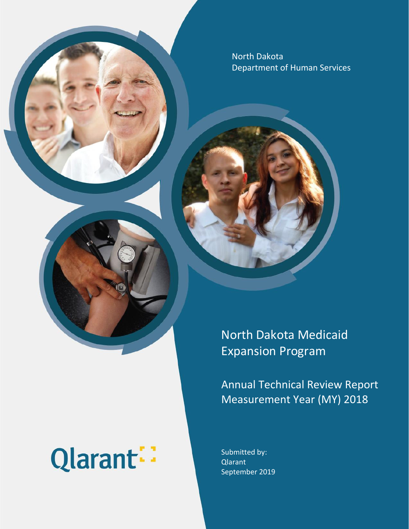North Dakota Department of Human Services

# Qlarant:

North Dakota Medicaid Expansion Program

Annual Technical Review Report Measurement Year (MY) 2018

Submitted by: Qlarant September 2019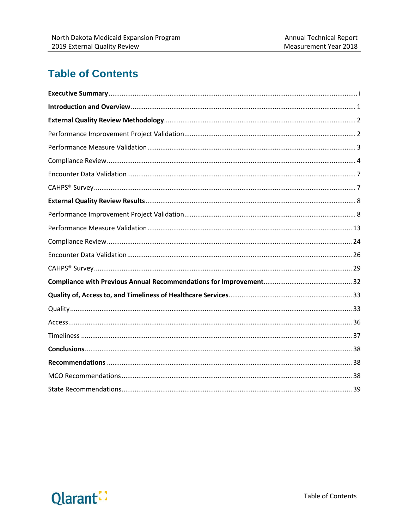# **Table of Contents**

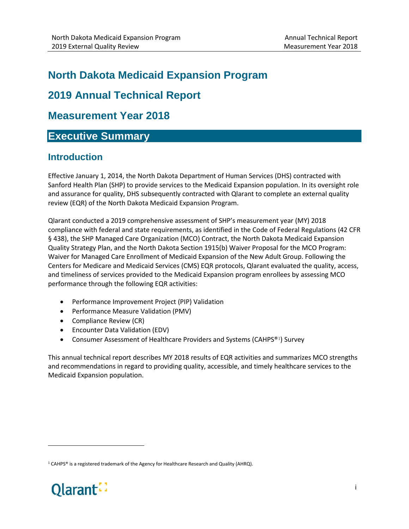# **North Dakota Medicaid Expansion Program**

# **2019 Annual Technical Report**

# **Measurement Year 2018**

# <span id="page-2-0"></span>**Executive Summary**

# **Introduction**

Effective January 1, 2014, the North Dakota Department of Human Services (DHS) contracted with Sanford Health Plan (SHP) to provide services to the Medicaid Expansion population. In its oversight role and assurance for quality, DHS subsequently contracted with Qlarant to complete an external quality review (EQR) of the North Dakota Medicaid Expansion Program.

Qlarant conducted a 2019 comprehensive assessment of SHP's measurement year (MY) 2018 compliance with federal and state requirements, as identified in the Code of Federal Regulations (42 CFR § 438), the SHP Managed Care Organization (MCO) Contract, the North Dakota Medicaid Expansion Quality Strategy Plan, and the North Dakota Section 1915(b) Waiver Proposal for the MCO Program: Waiver for Managed Care Enrollment of Medicaid Expansion of the New Adult Group. Following the Centers for Medicare and Medicaid Services (CMS) EQR protocols, Qlarant evaluated the quality, access, and timeliness of services provided to the Medicaid Expansion program enrollees by assessing MCO performance through the following EQR activities:

- Performance Improvement Project (PIP) Validation
- Performance Measure Validation (PMV)
- Compliance Review (CR)
- Encounter Data Validation (EDV)
- Consumer Assessment of Healthcare Providers and Systems (CAHPS®[1](#page-2-1)) Survey

This annual technical report describes MY 2018 results of EQR activities and summarizes MCO strengths and recommendations in regard to providing quality, accessible, and timely healthcare services to the Medicaid Expansion population.

<span id="page-2-1"></span> $1$  CAHPS® is a registered trademark of the Agency for Healthcare Research and Quality (AHRQ).



 $\overline{\phantom{a}}$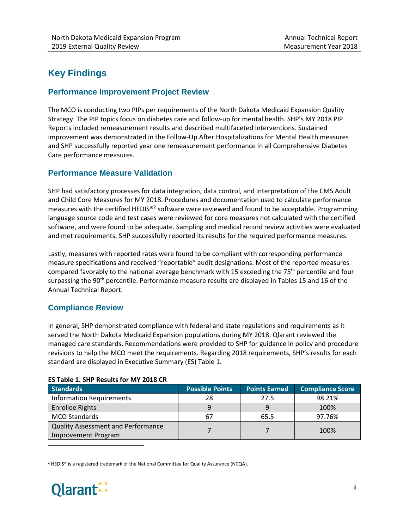# **Key Findings**

#### **Performance Improvement Project Review**

The MCO is conducting two PIPs per requirements of the North Dakota Medicaid Expansion Quality Strategy. The PIP topics focus on diabetes care and follow-up for mental health. SHP's MY 2018 PIP Reports included remeasurement results and described multifaceted interventions. Sustained improvement was demonstrated in the Follow-Up After Hospitalizations for Mental Health measures and SHP successfully reported year one remeasurement performance in all Comprehensive Diabetes Care performance measures.

#### **Performance Measure Validation**

SHP had satisfactory processes for data integration, data control, and interpretation of the CMS Adult and Child Core Measures for MY 2018. Procedures and documentation used to calculate performance measures with the certified HEDIS®<sup>[2](#page-3-0)</sup> software were reviewed and found to be acceptable. Programming language source code and test cases were reviewed for core measures not calculated with the certified software, and were found to be adequate. Sampling and medical record review activities were evaluated and met requirements. SHP successfully reported its results for the required performance measures.

Lastly, measures with reported rates were found to be compliant with corresponding performance measure specifications and received "reportable" audit designations. Most of the reported measures compared favorably to the national average benchmark with 15 exceeding the 75<sup>th</sup> percentile and four surpassing the 90<sup>th</sup> percentile. Performance measure results are displayed in Tables 15 and 16 of the Annual Technical Report.

#### **Compliance Review**

In general, SHP demonstrated compliance with federal and state regulations and requirements as it served the North Dakota Medicaid Expansion populations during MY 2018. Qlarant reviewed the managed care standards. Recommendations were provided to SHP for guidance in policy and procedure revisions to help the MCO meet the requirements. Regarding 2018 requirements, SHP's results for each standard are displayed in Executive Summary (ES) Table 1.

#### **ES Table 1. SHP Results for MY 2018 CR**

| <b>Standards</b>                                                        | <b>Possible Points</b> | <b>Points Earned</b> | <b>Compliance Score</b> |
|-------------------------------------------------------------------------|------------------------|----------------------|-------------------------|
| <b>Information Requirements</b>                                         | 28                     | 27.5                 | 98.21%                  |
| <b>Enrollee Rights</b>                                                  | 9                      |                      | 100%                    |
| <b>MCO Standards</b>                                                    | 67                     | 65.5                 | 97.76%                  |
| <b>Quality Assessment and Performance</b><br><b>Improvement Program</b> |                        |                      | 100%                    |

<span id="page-3-0"></span> $2$  HEDIS® is a registered trademark of the National Committee for Quality Assurance (NCQA).



 $\overline{\phantom{a}}$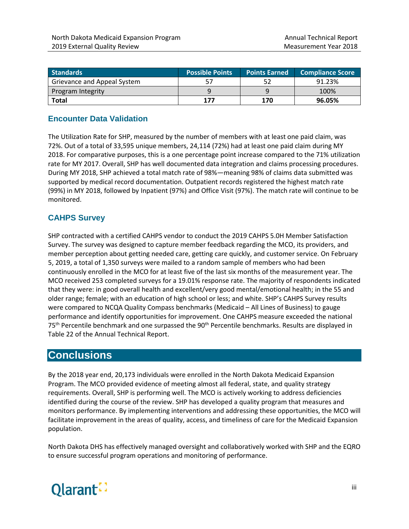| <b>Standards</b>            | <b>Possible Points</b> | <b>Points Earned</b> | <b>Compliance Score</b> |
|-----------------------------|------------------------|----------------------|-------------------------|
| Grievance and Appeal System | 57                     | 52                   | 91.23%                  |
| Program Integrity           |                        | q                    | 100%                    |
| Total                       | 177                    | 170                  | 96.05%                  |

#### **Encounter Data Validation**

The Utilization Rate for SHP, measured by the number of members with at least one paid claim, was 72%. Out of a total of 33,595 unique members, 24,114 (72%) had at least one paid claim during MY 2018. For comparative purposes, this is a one percentage point increase compared to the 71% utilization rate for MY 2017. Overall, SHP has well documented data integration and claims processing procedures. During MY 2018, SHP achieved a total match rate of 98%—meaning 98% of claims data submitted was supported by medical record documentation. Outpatient records registered the highest match rate (99%) in MY 2018, followed by Inpatient (97%) and Office Visit (97%). The match rate will continue to be monitored.

#### **CAHPS Survey**

SHP contracted with a certified CAHPS vendor to conduct the 2019 CAHPS 5.0H Member Satisfaction Survey. The survey was designed to capture member feedback regarding the MCO, its providers, and member perception about getting needed care, getting care quickly, and customer service. On February 5, 2019, a total of 1,350 surveys were mailed to a random sample of members who had been continuously enrolled in the MCO for at least five of the last six months of the measurement year. The MCO received 253 completed surveys for a 19.01% response rate. The majority of respondents indicated that they were: in good overall health and excellent/very good mental/emotional health; in the 55 and older range; female; with an education of high school or less; and white. SHP's CAHPS Survey results were compared to NCQA Quality Compass benchmarks (Medicaid – All Lines of Business) to gauge performance and identify opportunities for improvement. One CAHPS measure exceeded the national 75<sup>th</sup> Percentile benchmark and one surpassed the 90<sup>th</sup> Percentile benchmarks. Results are displayed in Table 22 of the Annual Technical Report.

## **Conclusions**

By the 2018 year end, 20,173 individuals were enrolled in the North Dakota Medicaid Expansion Program. The MCO provided evidence of meeting almost all federal, state, and quality strategy requirements. Overall, SHP is performing well. The MCO is actively working to address deficiencies identified during the course of the review. SHP has developed a quality program that measures and monitors performance. By implementing interventions and addressing these opportunities, the MCO will facilitate improvement in the areas of quality, access, and timeliness of care for the Medicaid Expansion population.

North Dakota DHS has effectively managed oversight and collaboratively worked with SHP and the EQRO to ensure successful program operations and monitoring of performance.

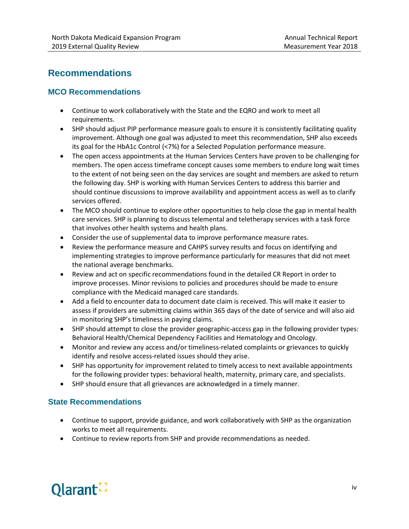# **Recommendations**

#### **MCO Recommendations**

- Continue to work collaboratively with the State and the EQRO and work to meet all requirements.
- SHP should adjust PIP performance measure goals to ensure it is consistently facilitating quality improvement. Although one goal was adjusted to meet this recommendation, SHP also exceeds its goal for the HbA1c Control (<7%) for a Selected Population performance measure.
- The open access appointments at the Human Services Centers have proven to be challenging for members. The open access timeframe concept causes some members to endure long wait times to the extent of not being seen on the day services are sought and members are asked to return the following day. SHP is working with Human Services Centers to address this barrier and should continue discussions to improve availability and appointment access as well as to clarify services offered.
- The MCO should continue to explore other opportunities to help close the gap in mental health care services. SHP is planning to discuss telemental and teletherapy services with a task force that involves other health systems and health plans.
- Consider the use of supplemental data to improve performance measure rates.
- Review the performance measure and CAHPS survey results and focus on identifying and implementing strategies to improve performance particularly for measures that did not meet the national average benchmarks.
- Review and act on specific recommendations found in the detailed CR Report in order to improve processes. Minor revisions to policies and procedures should be made to ensure compliance with the Medicaid managed care standards.
- Add a field to encounter data to document date claim is received. This will make it easier to assess if providers are submitting claims within 365 days of the date of service and will also aid in monitoring SHP's timeliness in paying claims.
- SHP should attempt to close the provider geographic-access gap in the following provider types: Behavioral Health/Chemical Dependency Facilities and Hematology and Oncology.
- Monitor and review any access and/or timeliness-related complaints or grievances to quickly identify and resolve access-related issues should they arise.
- SHP has opportunity for improvement related to timely access to next available appointments for the following provider types: behavioral health, maternity, primary care, and specialists.
- SHP should ensure that all grievances are acknowledged in a timely manner.

#### **State Recommendations**

- Continue to support, provide guidance, and work collaboratively with SHP as the organization works to meet all requirements.
- Continue to review reports from SHP and provide recommendations as needed.

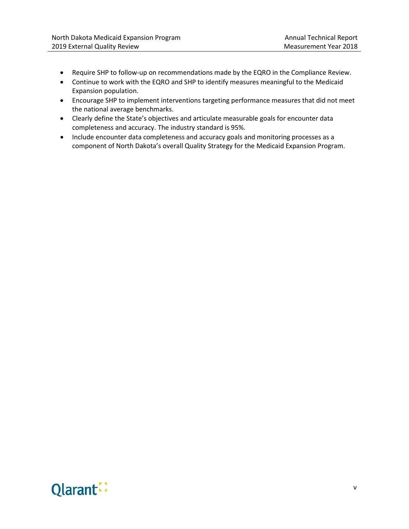- Require SHP to follow-up on recommendations made by the EQRO in the Compliance Review.
- Continue to work with the EQRO and SHP to identify measures meaningful to the Medicaid Expansion population.
- Encourage SHP to implement interventions targeting performance measures that did not meet the national average benchmarks.
- Clearly define the State's objectives and articulate measurable goals for encounter data completeness and accuracy. The industry standard is 95%.
- Include encounter data completeness and accuracy goals and monitoring processes as a component of North Dakota's overall Quality Strategy for the Medicaid Expansion Program.

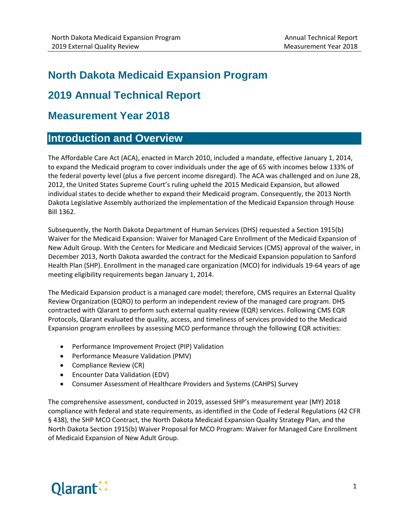# **North Dakota Medicaid Expansion Program**

# **2019 Annual Technical Report**

# **Measurement Year 2018**

# <span id="page-7-0"></span>**Introduction and Overview**

The Affordable Care Act (ACA), enacted in March 2010, included a mandate, effective January 1, 2014, to expand the Medicaid program to cover individuals under the age of 65 with incomes below 133% of the federal poverty level (plus a five percent income disregard). The ACA was challenged and on June 28, 2012, the United States Supreme Court's ruling upheld the 2015 Medicaid Expansion, but allowed individual states to decide whether to expand their Medicaid program. Consequently, the 2013 North Dakota Legislative Assembly authorized the implementation of the Medicaid Expansion through House Bill 1362.

Subsequently, the North Dakota Department of Human Services (DHS) requested a Section 1915(b) Waiver for the Medicaid Expansion: Waiver for Managed Care Enrollment of the Medicaid Expansion of New Adult Group. With the Centers for Medicare and Medicaid Services (CMS) approval of the waiver, in December 2013, North Dakota awarded the contract for the Medicaid Expansion population to Sanford Health Plan (SHP). Enrollment in the managed care organization (MCO) for individuals 19-64 years of age meeting eligibility requirements began January 1, 2014.

The Medicaid Expansion product is a managed care model; therefore, CMS requires an External Quality Review Organization (EQRO) to perform an independent review of the managed care program. DHS contracted with Qlarant to perform such external quality review (EQR) services. Following CMS EQR Protocols, Qlarant evaluated the quality, access, and timeliness of services provided to the Medicaid Expansion program enrollees by assessing MCO performance through the following EQR activities:

- Performance Improvement Project (PIP) Validation
- Performance Measure Validation (PMV)
- Compliance Review (CR)
- Encounter Data Validation (EDV)
- Consumer Assessment of Healthcare Providers and Systems (CAHPS) Survey

The comprehensive assessment, conducted in 2019, assessed SHP's measurement year (MY) 2018 compliance with federal and state requirements, as identified in the Code of Federal Regulations (42 CFR § 438), the SHP MCO Contract, the North Dakota Medicaid Expansion Quality Strategy Plan, and the North Dakota Section 1915(b) Waiver Proposal for MCO Program: Waiver for Managed Care Enrollment of Medicaid Expansion of New Adult Group.

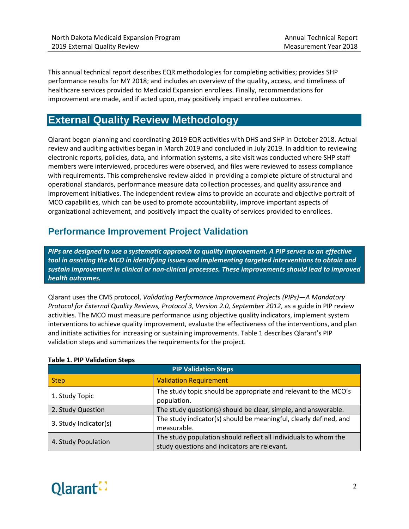This annual technical report describes EQR methodologies for completing activities; provides SHP performance results for MY 2018; and includes an overview of the quality, access, and timeliness of healthcare services provided to Medicaid Expansion enrollees. Finally, recommendations for improvement are made, and if acted upon, may positively impact enrollee outcomes.

# <span id="page-8-0"></span>**External Quality Review Methodology**

Qlarant began planning and coordinating 2019 EQR activities with DHS and SHP in October 2018. Actual review and auditing activities began in March 2019 and concluded in July 2019. In addition to reviewing electronic reports, policies, data, and information systems, a site visit was conducted where SHP staff members were interviewed, procedures were observed, and files were reviewed to assess compliance with requirements. This comprehensive review aided in providing a complete picture of structural and operational standards, performance measure data collection processes, and quality assurance and improvement initiatives. The independent review aims to provide an accurate and objective portrait of MCO capabilities, which can be used to promote accountability, improve important aspects of organizational achievement, and positively impact the quality of services provided to enrollees.

# <span id="page-8-1"></span>**Performance Improvement Project Validation**

*PIPs are designed to use a systematic approach to quality improvement. A PIP serves as an effective tool in assisting the MCO in identifying issues and implementing targeted interventions to obtain and sustain improvement in clinical or non-clinical processes. These improvements should lead to improved health outcomes.*

Qlarant uses the CMS protocol, *Validating Performance Improvement Projects (PIPs)—A Mandatory Protocol for External Quality Reviews, Protocol 3, Version 2.0, September 2012*, as a guide in PIP review activities. The MCO must measure performance using objective quality indicators, implement system interventions to achieve quality improvement, evaluate the effectiveness of the interventions, and plan and initiate activities for increasing or sustaining improvements. Table 1 describes Qlarant's PIP validation steps and summarizes the requirements for the project.

| <b>PIP Validation Steps</b> |                                                                                                                 |  |  |
|-----------------------------|-----------------------------------------------------------------------------------------------------------------|--|--|
| <b>Step</b>                 | <b>Validation Requirement</b>                                                                                   |  |  |
| 1. Study Topic              | The study topic should be appropriate and relevant to the MCO's<br>population.                                  |  |  |
| 2. Study Question           | The study question(s) should be clear, simple, and answerable.                                                  |  |  |
| 3. Study Indicator(s)       | The study indicator(s) should be meaningful, clearly defined, and<br>measurable.                                |  |  |
| 4. Study Population         | The study population should reflect all individuals to whom the<br>study questions and indicators are relevant. |  |  |

#### **Table 1. PIP Validation Steps**

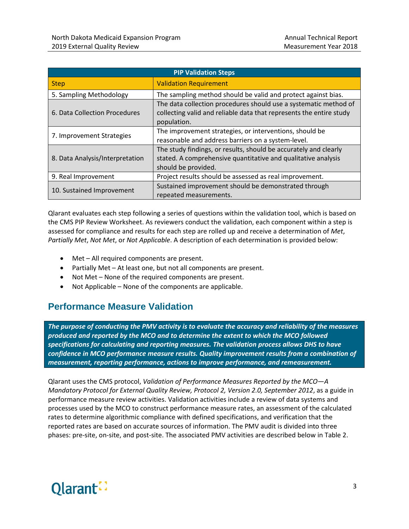| <b>PIP Validation Steps</b>                                                              |                                                                                                                                                          |  |  |
|------------------------------------------------------------------------------------------|----------------------------------------------------------------------------------------------------------------------------------------------------------|--|--|
| <b>Step</b>                                                                              | <b>Validation Requirement</b>                                                                                                                            |  |  |
| The sampling method should be valid and protect against bias.<br>5. Sampling Methodology |                                                                                                                                                          |  |  |
| 6. Data Collection Procedures                                                            | The data collection procedures should use a systematic method of<br>collecting valid and reliable data that represents the entire study<br>population.   |  |  |
| 7. Improvement Strategies                                                                | The improvement strategies, or interventions, should be<br>reasonable and address barriers on a system-level.                                            |  |  |
| 8. Data Analysis/Interpretation                                                          | The study findings, or results, should be accurately and clearly<br>stated. A comprehensive quantitative and qualitative analysis<br>should be provided. |  |  |
| 9. Real Improvement                                                                      | Project results should be assessed as real improvement.                                                                                                  |  |  |
| 10. Sustained Improvement                                                                | Sustained improvement should be demonstrated through<br>repeated measurements.                                                                           |  |  |

Qlarant evaluates each step following a series of questions within the validation tool, which is based on the CMS PIP Review Worksheet. As reviewers conduct the validation, each component within a step is assessed for compliance and results for each step are rolled up and receive a determination of *Met*, *Partially Met*, *Not Met*, or *Not Applicable*. A description of each determination is provided below:

- Met All required components are present.
- Partially Met At least one, but not all components are present.
- Not Met None of the required components are present.
- Not Applicable None of the components are applicable.

# <span id="page-9-0"></span>**Performance Measure Validation**

*The purpose of conducting the PMV activity is to evaluate the accuracy and reliability of the measures produced and reported by the MCO and to determine the extent to which the MCO followed specifications for calculating and reporting measures. The validation process allows DHS to have confidence in MCO performance measure results. Quality improvement results from a combination of measurement, reporting performance, actions to improve performance, and remeasurement.*

Qlarant uses the CMS protocol, *Validation of Performance Measures Reported by the MCO—A Mandatory Protocol for External Quality Review, Protocol 2, Version 2.0, September 2012*, as a guide in performance measure review activities. Validation activities include a review of data systems and processes used by the MCO to construct performance measure rates, an assessment of the calculated rates to determine algorithmic compliance with defined specifications, and verification that the reported rates are based on accurate sources of information. The PMV audit is divided into three phases: pre-site, on-site, and post-site. The associated PMV activities are described below in Table 2.

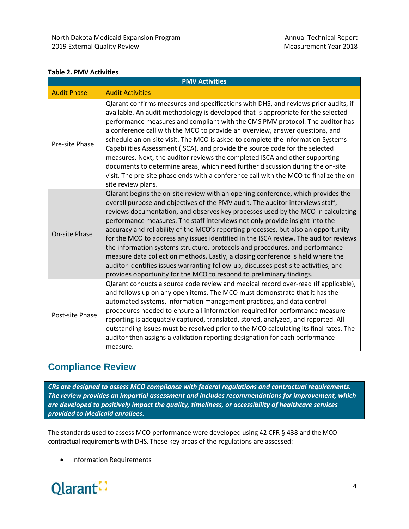#### **Table 2. PMV Activities**

| <b>PMV Activities</b> |                                                                                                                                                                                                                                                                                                                                                                                                                                                                                                                                                                                                                                                                                                                                                                                                                                                        |  |  |  |
|-----------------------|--------------------------------------------------------------------------------------------------------------------------------------------------------------------------------------------------------------------------------------------------------------------------------------------------------------------------------------------------------------------------------------------------------------------------------------------------------------------------------------------------------------------------------------------------------------------------------------------------------------------------------------------------------------------------------------------------------------------------------------------------------------------------------------------------------------------------------------------------------|--|--|--|
| <b>Audit Phase</b>    | <b>Audit Activities</b>                                                                                                                                                                                                                                                                                                                                                                                                                                                                                                                                                                                                                                                                                                                                                                                                                                |  |  |  |
| Pre-site Phase        | Qlarant confirms measures and specifications with DHS, and reviews prior audits, if<br>available. An audit methodology is developed that is appropriate for the selected<br>performance measures and compliant with the CMS PMV protocol. The auditor has<br>a conference call with the MCO to provide an overview, answer questions, and<br>schedule an on-site visit. The MCO is asked to complete the Information Systems<br>Capabilities Assessment (ISCA), and provide the source code for the selected<br>measures. Next, the auditor reviews the completed ISCA and other supporting<br>documents to determine areas, which need further discussion during the on-site<br>visit. The pre-site phase ends with a conference call with the MCO to finalize the on-<br>site review plans.                                                          |  |  |  |
| <b>On-site Phase</b>  | Qlarant begins the on-site review with an opening conference, which provides the<br>overall purpose and objectives of the PMV audit. The auditor interviews staff,<br>reviews documentation, and observes key processes used by the MCO in calculating<br>performance measures. The staff interviews not only provide insight into the<br>accuracy and reliability of the MCO's reporting processes, but also an opportunity<br>for the MCO to address any issues identified in the ISCA review. The auditor reviews<br>the information systems structure, protocols and procedures, and performance<br>measure data collection methods. Lastly, a closing conference is held where the<br>auditor identifies issues warranting follow-up, discusses post-site activities, and<br>provides opportunity for the MCO to respond to preliminary findings. |  |  |  |
| Post-site Phase       | Qlarant conducts a source code review and medical record over-read (if applicable),<br>and follows up on any open items. The MCO must demonstrate that it has the<br>automated systems, information management practices, and data control<br>procedures needed to ensure all information required for performance measure<br>reporting is adequately captured, translated, stored, analyzed, and reported. All<br>outstanding issues must be resolved prior to the MCO calculating its final rates. The<br>auditor then assigns a validation reporting designation for each performance<br>measure.                                                                                                                                                                                                                                                   |  |  |  |

# <span id="page-10-0"></span>**Compliance Review**

*CRs are designed to assess MCO compliance with federal regulations and contractual requirements. The review provides an impartial assessment and includes recommendations for improvement, which are developed to positively impact the quality, timeliness, or accessibility of healthcare services provided to Medicaid enrollees.*

The standards used to assess MCO performance were developed using 42 CFR § 438 and the MCO contractual requirements with DHS. These key areas of the regulations are assessed:

• Information Requirements

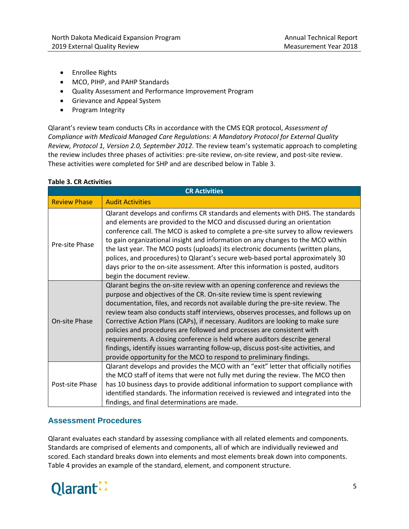- Enrollee Rights
- MCO, PIHP, and PAHP Standards
- Quality Assessment and Performance Improvement Program
- Grievance and Appeal System
- Program Integrity

Qlarant's review team conducts CRs in accordance with the CMS EQR protocol, *Assessment of Compliance with Medicaid Managed Care Regulations: A Mandatory Protocol for External Quality Review, Protocol 1, Version 2.0, September 2012*. The review team's systematic approach to completing the review includes three phases of activities: pre-site review, on-site review, and post-site review. These activities were completed for SHP and are described below in Table 3.

#### **Table 3. CR Activities**

| <b>CR Activities</b> |                                                                                                                                                                                                                                                                                                                                                                                                                                                                                                                                                                                                                                                                                                                                         |  |  |  |
|----------------------|-----------------------------------------------------------------------------------------------------------------------------------------------------------------------------------------------------------------------------------------------------------------------------------------------------------------------------------------------------------------------------------------------------------------------------------------------------------------------------------------------------------------------------------------------------------------------------------------------------------------------------------------------------------------------------------------------------------------------------------------|--|--|--|
| <b>Review Phase</b>  | <b>Audit Activities</b>                                                                                                                                                                                                                                                                                                                                                                                                                                                                                                                                                                                                                                                                                                                 |  |  |  |
| Pre-site Phase       | Qlarant develops and confirms CR standards and elements with DHS. The standards<br>and elements are provided to the MCO and discussed during an orientation<br>conference call. The MCO is asked to complete a pre-site survey to allow reviewers<br>to gain organizational insight and information on any changes to the MCO within<br>the last year. The MCO posts (uploads) its electronic documents (written plans,<br>polices, and procedures) to Qlarant's secure web-based portal approximately 30<br>days prior to the on-site assessment. After this information is posted, auditors<br>begin the document review.                                                                                                             |  |  |  |
| On-site Phase        | Qlarant begins the on-site review with an opening conference and reviews the<br>purpose and objectives of the CR. On-site review time is spent reviewing<br>documentation, files, and records not available during the pre-site review. The<br>review team also conducts staff interviews, observes processes, and follows up on<br>Corrective Action Plans (CAPs), if necessary. Auditors are looking to make sure<br>policies and procedures are followed and processes are consistent with<br>requirements. A closing conference is held where auditors describe general<br>findings, identify issues warranting follow-up, discuss post-site activities, and<br>provide opportunity for the MCO to respond to preliminary findings. |  |  |  |
| Post-site Phase      | Qlarant develops and provides the MCO with an "exit" letter that officially notifies<br>the MCO staff of items that were not fully met during the review. The MCO then<br>has 10 business days to provide additional information to support compliance with<br>identified standards. The information received is reviewed and integrated into the<br>findings, and final determinations are made.                                                                                                                                                                                                                                                                                                                                       |  |  |  |

#### **Assessment Procedures**

Qlarant evaluates each standard by assessing compliance with all related elements and components. Standards are comprised of elements and components, all of which are individually reviewed and scored. Each standard breaks down into elements and most elements break down into components. Table 4 provides an example of the standard, element, and component structure.

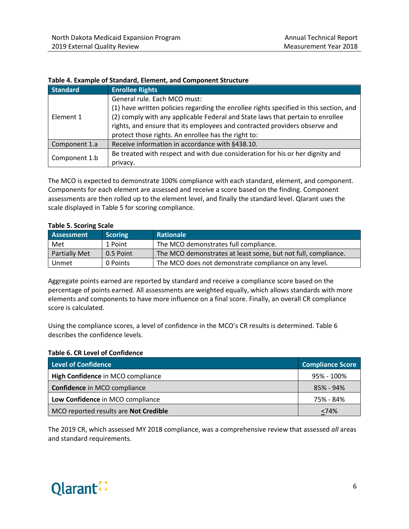| <b>Standard</b> | <b>Enrollee Rights</b>                                                                                                                                                                                                                                                                                                                        |
|-----------------|-----------------------------------------------------------------------------------------------------------------------------------------------------------------------------------------------------------------------------------------------------------------------------------------------------------------------------------------------|
| Element 1       | General rule. Each MCO must:<br>(1) have written policies regarding the enrollee rights specified in this section, and<br>(2) comply with any applicable Federal and State laws that pertain to enrollee<br>rights, and ensure that its employees and contracted providers observe and<br>protect those rights. An enrollee has the right to: |
| Component 1.a   | Receive information in accordance with §438.10.                                                                                                                                                                                                                                                                                               |
| Component 1.b   | Be treated with respect and with due consideration for his or her dignity and<br>privacy.                                                                                                                                                                                                                                                     |

#### **Table 4. Example of Standard, Element, and Component Structure**

The MCO is expected to demonstrate 100% compliance with each standard, element, and component. Components for each element are assessed and receive a score based on the finding. Component assessments are then rolled up to the element level, and finally the standard level. Qlarant uses the scale displayed in Table 5 for scoring compliance.

| <b>PRODUCED:</b> SCOTTING SCOTC |                |                                                               |  |  |
|---------------------------------|----------------|---------------------------------------------------------------|--|--|
| Assessment                      | <b>Scoring</b> | Rationale                                                     |  |  |
| Met                             | 1 Point        | The MCO demonstrates full compliance.                         |  |  |
| <b>Partially Met</b>            | 0.5 Point      | The MCO demonstrates at least some, but not full, compliance. |  |  |
| Unmet                           | 0 Points       | The MCO does not demonstrate compliance on any level.         |  |  |

#### **Table 5. Scoring Scale**

Aggregate points earned are reported by standard and receive a compliance score based on the percentage of points earned. All assessments are weighted equally, which allows standards with more elements and components to have more influence on a final score. Finally, an overall CR compliance score is calculated.

Using the compliance scores, a level of confidence in the MCO's CR results is determined. Table 6 describes the confidence levels.

#### **Table 6. CR Level of Confidence**

| Level of Confidence                   | <b>Compliance Score</b> |
|---------------------------------------|-------------------------|
| High Confidence in MCO compliance     | 95% - 100%              |
| Confidence in MCO compliance          | 85% - 94%               |
| Low Confidence in MCO compliance      | 75% - 84%               |
| MCO reported results are Not Credible | <74%                    |

The 2019 CR, which assessed MY 2018 compliance, was a comprehensive review that assessed *all* areas and standard requirements.

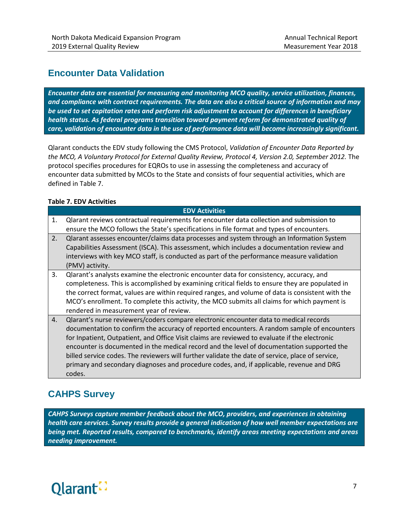# <span id="page-13-0"></span>**Encounter Data Validation**

*Encounter data are essential for measuring and monitoring MCO quality, service utilization, finances, and compliance with contract requirements. The data are also a critical source of information and may be used to set capitation rates and perform risk adjustment to account for differences in beneficiary health status. As federal programs transition toward payment reform for demonstrated quality of care, validation of encounter data in the use of performance data will become increasingly significant.*

Qlarant conducts the EDV study following the CMS Protocol, *Validation of Encounter Data Reported by the MCO, A Voluntary Protocol for External Quality Review, Protocol 4, Version 2.0, September 2012.* The protocol specifies procedures for EQROs to use in assessing the completeness and accuracy of encounter data submitted by MCOs to the State and consists of four sequential activities, which are defined in Table 7.

#### **Table 7. EDV Activities**

|    | <b>EDV Activities</b>                                                                                                                                                                                                                                                                                                                                                                                                                                                                                                                                                                         |
|----|-----------------------------------------------------------------------------------------------------------------------------------------------------------------------------------------------------------------------------------------------------------------------------------------------------------------------------------------------------------------------------------------------------------------------------------------------------------------------------------------------------------------------------------------------------------------------------------------------|
| 1. | Clarant reviews contractual requirements for encounter data collection and submission to<br>ensure the MCO follows the State's specifications in file format and types of encounters.                                                                                                                                                                                                                                                                                                                                                                                                         |
| 2. | Qlarant assesses encounter/claims data processes and system through an Information System<br>Capabilities Assessment (ISCA). This assessment, which includes a documentation review and<br>interviews with key MCO staff, is conducted as part of the performance measure validation<br>(PMV) activity.                                                                                                                                                                                                                                                                                       |
| 3. | Qlarant's analysts examine the electronic encounter data for consistency, accuracy, and<br>completeness. This is accomplished by examining critical fields to ensure they are populated in<br>the correct format, values are within required ranges, and volume of data is consistent with the<br>MCO's enrollment. To complete this activity, the MCO submits all claims for which payment is<br>rendered in measurement year of review.                                                                                                                                                     |
| 4. | Qlarant's nurse reviewers/coders compare electronic encounter data to medical records<br>documentation to confirm the accuracy of reported encounters. A random sample of encounters<br>for Inpatient, Outpatient, and Office Visit claims are reviewed to evaluate if the electronic<br>encounter is documented in the medical record and the level of documentation supported the<br>billed service codes. The reviewers will further validate the date of service, place of service,<br>primary and secondary diagnoses and procedure codes, and, if applicable, revenue and DRG<br>codes. |

# <span id="page-13-1"></span>**CAHPS Survey**

*CAHPS Surveys capture member feedback about the MCO, providers, and experiences in obtaining health care services. Survey results provide a general indication of how well member expectations are being met. Reported results, compared to benchmarks, identify areas meeting expectations and areas needing improvement.*

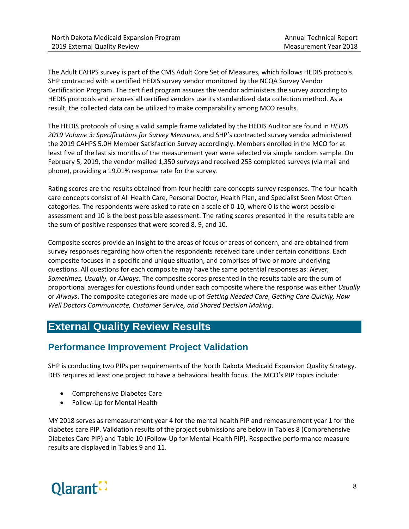The Adult CAHPS survey is part of the CMS Adult Core Set of Measures, which follows HEDIS protocols. SHP contracted with a certified HEDIS survey vendor monitored by the NCQA Survey Vendor Certification Program. The certified program assures the vendor administers the survey according to HEDIS protocols and ensures all certified vendors use its standardized data collection method. As a result, the collected data can be utilized to make comparability among MCO results.

The HEDIS protocols of using a valid sample frame validated by the HEDIS Auditor are found in *HEDIS 2019 Volume 3: Specifications for Survey Measures*, and SHP's contracted survey vendor administered the 2019 CAHPS 5.0H Member Satisfaction Survey accordingly. Members enrolled in the MCO for at least five of the last six months of the measurement year were selected via simple random sample. On February 5, 2019, the vendor mailed 1,350 surveys and received 253 completed surveys (via mail and phone), providing a 19.01% response rate for the survey.

Rating scores are the results obtained from four health care concepts survey responses. The four health care concepts consist of All Health Care, Personal Doctor, Health Plan, and Specialist Seen Most Often categories. The respondents were asked to rate on a scale of 0-10, where 0 is the worst possible assessment and 10 is the best possible assessment. The rating scores presented in the results table are the sum of positive responses that were scored 8, 9, and 10.

Composite scores provide an insight to the areas of focus or areas of concern, and are obtained from survey responses regarding how often the respondents received care under certain conditions. Each composite focuses in a specific and unique situation, and comprises of two or more underlying questions. All questions for each composite may have the same potential responses as: *Never, Sometimes, Usually,* or *Always*. The composite scores presented in the results table are the sum of proportional averages for questions found under each composite where the response was either *Usually* or *Always*. The composite categories are made up of *Getting Needed Care, Getting Care Quickly, How Well Doctors Communicate, Customer Service, and Shared Decision Making*.

# <span id="page-14-0"></span>**External Quality Review Results**

# <span id="page-14-1"></span>**Performance Improvement Project Validation**

SHP is conducting two PIPs per requirements of the North Dakota Medicaid Expansion Quality Strategy. DHS requires at least one project to have a behavioral health focus. The MCO's PIP topics include:

- Comprehensive Diabetes Care
- Follow-Up for Mental Health

MY 2018 serves as remeasurement year 4 for the mental health PIP and remeasurement year 1 for the diabetes care PIP. Validation results of the project submissions are below in Tables 8 (Comprehensive Diabetes Care PIP) and Table 10 (Follow-Up for Mental Health PIP). Respective performance measure results are displayed in Tables 9 and 11.

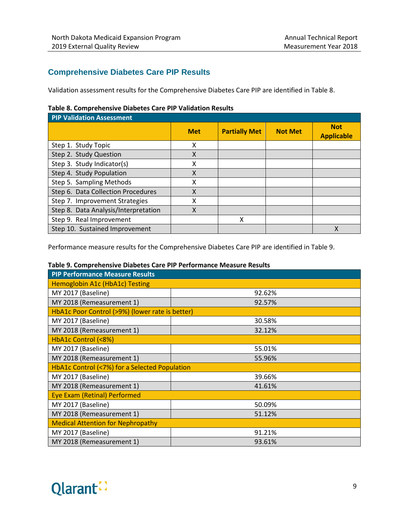#### **Comprehensive Diabetes Care PIP Results**

Validation assessment results for the Comprehensive Diabetes Care PIP are identified in Table 8.

#### **Table 8. Comprehensive Diabetes Care PIP Validation Results**

| <b>PIP Validation Assessment</b>     |            |                      |                |                                 |
|--------------------------------------|------------|----------------------|----------------|---------------------------------|
|                                      | <b>Met</b> | <b>Partially Met</b> | <b>Not Met</b> | <b>Not</b><br><b>Applicable</b> |
| Step 1. Study Topic                  | X          |                      |                |                                 |
| Step 2. Study Question               | X          |                      |                |                                 |
| Step 3. Study Indicator(s)           | Χ          |                      |                |                                 |
| Step 4. Study Population             | X          |                      |                |                                 |
| Step 5. Sampling Methods             | X          |                      |                |                                 |
| Step 6. Data Collection Procedures   | X          |                      |                |                                 |
| Step 7. Improvement Strategies       | x          |                      |                |                                 |
| Step 8. Data Analysis/Interpretation | X          |                      |                |                                 |
| Step 9. Real Improvement             |            | χ                    |                |                                 |
| Step 10. Sustained Improvement       |            |                      |                |                                 |

Performance measure results for the Comprehensive Diabetes Care PIP are identified in Table 9.

#### **Table 9. Comprehensive Diabetes Care PIP Performance Measure Results**

| <b>PIP Performance Measure Results</b>          |        |  |  |  |
|-------------------------------------------------|--------|--|--|--|
| Hemoglobin A1c (HbA1c) Testing                  |        |  |  |  |
| MY 2017 (Baseline)                              | 92.62% |  |  |  |
| MY 2018 (Remeasurement 1)                       | 92.57% |  |  |  |
| HbA1c Poor Control (>9%) (lower rate is better) |        |  |  |  |
| MY 2017 (Baseline)                              | 30.58% |  |  |  |
| MY 2018 (Remeasurement 1)                       | 32.12% |  |  |  |
| HbA1c Control (<8%)                             |        |  |  |  |
| MY 2017 (Baseline)                              | 55.01% |  |  |  |
| MY 2018 (Remeasurement 1)                       | 55.96% |  |  |  |
| HbA1c Control (<7%) for a Selected Population   |        |  |  |  |
| MY 2017 (Baseline)                              | 39.66% |  |  |  |
| MY 2018 (Remeasurement 1)                       | 41.61% |  |  |  |
| Eye Exam (Retinal) Performed                    |        |  |  |  |
| MY 2017 (Baseline)                              | 50.09% |  |  |  |
| MY 2018 (Remeasurement 1)                       | 51.12% |  |  |  |
| <b>Medical Attention for Nephropathy</b>        |        |  |  |  |
| MY 2017 (Baseline)                              | 91.21% |  |  |  |
| MY 2018 (Remeasurement 1)                       | 93.61% |  |  |  |

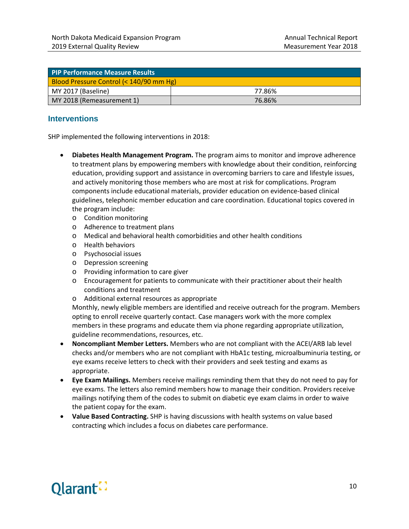| <b>PIP Performance Measure Results</b>  |        |  |  |
|-----------------------------------------|--------|--|--|
| Blood Pressure Control (< 140/90 mm Hg) |        |  |  |
| MY 2017 (Baseline)                      | 77.86% |  |  |
| MY 2018 (Remeasurement 1)               | 76.86% |  |  |

#### **Interventions**

SHP implemented the following interventions in 2018:

- **Diabetes Health Management Program.** The program aims to monitor and improve adherence to treatment plans by empowering members with knowledge about their condition, reinforcing education, providing support and assistance in overcoming barriers to care and lifestyle issues, and actively monitoring those members who are most at risk for complications. Program components include educational materials, provider education on evidence-based clinical guidelines, telephonic member education and care coordination. Educational topics covered in the program include:
	- o Condition monitoring
	- o Adherence to treatment plans
	- o Medical and behavioral health comorbidities and other health conditions
	- o Health behaviors
	- o Psychosocial issues
	- o Depression screening
	- o Providing information to care giver
	- o Encouragement for patients to communicate with their practitioner about their health conditions and treatment
	- o Additional external resources as appropriate

Monthly, newly eligible members are identified and receive outreach for the program. Members opting to enroll receive quarterly contact. Case managers work with the more complex members in these programs and educate them via phone regarding appropriate utilization, guideline recommendations, resources, etc.

- **Noncompliant Member Letters.** Members who are not compliant with the ACEI/ARB lab level checks and/or members who are not compliant with HbA1c testing, microalbuminuria testing, or eye exams receive letters to check with their providers and seek testing and exams as appropriate.
- **Eye Exam Mailings.** Members receive mailings reminding them that they do not need to pay for eye exams. The letters also remind members how to manage their condition. Providers receive mailings notifying them of the codes to submit on diabetic eye exam claims in order to waive the patient copay for the exam.
- **Value Based Contracting.** SHP is having discussions with health systems on value based contracting which includes a focus on diabetes care performance.

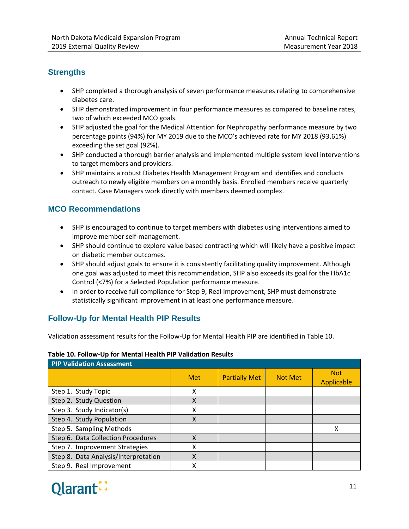#### **Strengths**

- SHP completed a thorough analysis of seven performance measures relating to comprehensive diabetes care.
- SHP demonstrated improvement in four performance measures as compared to baseline rates, two of which exceeded MCO goals.
- SHP adjusted the goal for the Medical Attention for Nephropathy performance measure by two percentage points (94%) for MY 2019 due to the MCO's achieved rate for MY 2018 (93.61%) exceeding the set goal (92%).
- SHP conducted a thorough barrier analysis and implemented multiple system level interventions to target members and providers.
- SHP maintains a robust Diabetes Health Management Program and identifies and conducts outreach to newly eligible members on a monthly basis. Enrolled members receive quarterly contact. Case Managers work directly with members deemed complex.

#### **MCO Recommendations**

- SHP is encouraged to continue to target members with diabetes using interventions aimed to improve member self-management.
- SHP should continue to explore value based contracting which will likely have a positive impact on diabetic member outcomes.
- SHP should adjust goals to ensure it is consistently facilitating quality improvement. Although one goal was adjusted to meet this recommendation, SHP also exceeds its goal for the HbA1c Control (<7%) for a Selected Population performance measure.
- In order to receive full compliance for Step 9, Real Improvement, SHP must demonstrate statistically significant improvement in at least one performance measure.

#### **Follow-Up for Mental Health PIP Results**

Validation assessment results for the Follow-Up for Mental Health PIP are identified in Table 10.

#### **Table 10. Follow-Up for Mental Health PIP Validation Results**

| <b>PIP Validation Assessment</b>     |            |                      |                |                          |  |
|--------------------------------------|------------|----------------------|----------------|--------------------------|--|
|                                      | <b>Met</b> | <b>Partially Met</b> | <b>Not Met</b> | <b>Not</b><br>Applicable |  |
| Step 1. Study Topic                  | x          |                      |                |                          |  |
| Step 2. Study Question               | X          |                      |                |                          |  |
| Step 3. Study Indicator(s)           | x          |                      |                |                          |  |
| Step 4. Study Population             | Χ          |                      |                |                          |  |
| Step 5. Sampling Methods             |            |                      |                |                          |  |
| Step 6. Data Collection Procedures   | χ          |                      |                |                          |  |
| Step 7. Improvement Strategies       | x          |                      |                |                          |  |
| Step 8. Data Analysis/Interpretation | Χ          |                      |                |                          |  |
| Step 9. Real Improvement             |            |                      |                |                          |  |

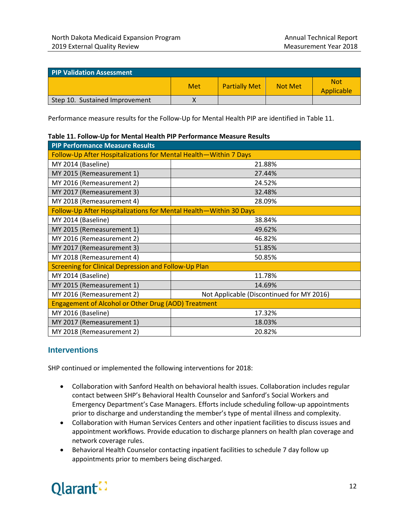| <b>PIP Validation Assessment</b> |     |                      |                |                          |
|----------------------------------|-----|----------------------|----------------|--------------------------|
|                                  | Met | <b>Partially Met</b> | <b>Not Met</b> | <b>Not</b><br>Applicable |
| Step 10. Sustained Improvement   |     |                      |                |                          |

Performance measure results for the Follow-Up for Mental Health PIP are identified in Table 11.

|                                                                   | able 11. Follow Op for mental ricartin in Terrormance measure hesaits |  |  |  |  |
|-------------------------------------------------------------------|-----------------------------------------------------------------------|--|--|--|--|
| <b>PIP Performance Measure Results</b>                            |                                                                       |  |  |  |  |
| Follow-Up After Hospitalizations for Mental Health-Within 7 Days  |                                                                       |  |  |  |  |
| MY 2014 (Baseline)                                                | 21.88%                                                                |  |  |  |  |
| MY 2015 (Remeasurement 1)                                         | 27.44%                                                                |  |  |  |  |
| MY 2016 (Remeasurement 2)                                         | 24.52%                                                                |  |  |  |  |
| MY 2017 (Remeasurement 3)                                         | 32.48%                                                                |  |  |  |  |
| MY 2018 (Remeasurement 4)                                         | 28.09%                                                                |  |  |  |  |
| Follow-Up After Hospitalizations for Mental Health-Within 30 Days |                                                                       |  |  |  |  |
| MY 2014 (Baseline)                                                | 38.84%                                                                |  |  |  |  |
| MY 2015 (Remeasurement 1)                                         | 49.62%                                                                |  |  |  |  |
| MY 2016 (Remeasurement 2)                                         | 46.82%                                                                |  |  |  |  |
| MY 2017 (Remeasurement 3)                                         | 51.85%                                                                |  |  |  |  |
| MY 2018 (Remeasurement 4)                                         | 50.85%                                                                |  |  |  |  |
| <b>Screening for Clinical Depression and Follow-Up Plan</b>       |                                                                       |  |  |  |  |
| MY 2014 (Baseline)                                                | 11.78%                                                                |  |  |  |  |
| MY 2015 (Remeasurement 1)                                         | 14.69%                                                                |  |  |  |  |
| MY 2016 (Remeasurement 2)                                         | Not Applicable (Discontinued for MY 2016)                             |  |  |  |  |
| <b>Engagement of Alcohol or Other Drug (AOD) Treatment</b>        |                                                                       |  |  |  |  |
| MY 2016 (Baseline)                                                | 17.32%                                                                |  |  |  |  |
| MY 2017 (Remeasurement 1)                                         | 18.03%                                                                |  |  |  |  |
| MY 2018 (Remeasurement 2)                                         | 20.82%                                                                |  |  |  |  |

|  |  |  |  |  | Table 11. Follow-Up for Mental Health PIP Performance Measure Results |  |
|--|--|--|--|--|-----------------------------------------------------------------------|--|
|--|--|--|--|--|-----------------------------------------------------------------------|--|

#### **Interventions**

SHP continued or implemented the following interventions for 2018:

- Collaboration with Sanford Health on behavioral health issues. Collaboration includes regular contact between SHP's Behavioral Health Counselor and Sanford's Social Workers and Emergency Department's Case Managers. Efforts include scheduling follow-up appointments prior to discharge and understanding the member's type of mental illness and complexity.
- Collaboration with Human Services Centers and other inpatient facilities to discuss issues and appointment workflows. Provide education to discharge planners on health plan coverage and network coverage rules.
- Behavioral Health Counselor contacting inpatient facilities to schedule 7 day follow up appointments prior to members being discharged.

# Qlarant: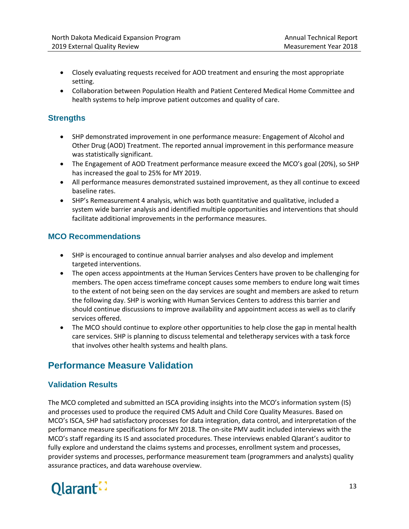- Closely evaluating requests received for AOD treatment and ensuring the most appropriate setting.
- Collaboration between Population Health and Patient Centered Medical Home Committee and health systems to help improve patient outcomes and quality of care.

#### **Strengths**

- SHP demonstrated improvement in one performance measure: Engagement of Alcohol and Other Drug (AOD) Treatment. The reported annual improvement in this performance measure was statistically significant.
- The Engagement of AOD Treatment performance measure exceed the MCO's goal (20%), so SHP has increased the goal to 25% for MY 2019.
- All performance measures demonstrated sustained improvement, as they all continue to exceed baseline rates.
- SHP's Remeasurement 4 analysis, which was both quantitative and qualitative, included a system wide barrier analysis and identified multiple opportunities and interventions that should facilitate additional improvements in the performance measures.

#### **MCO Recommendations**

- SHP is encouraged to continue annual barrier analyses and also develop and implement targeted interventions.
- The open access appointments at the Human Services Centers have proven to be challenging for members. The open access timeframe concept causes some members to endure long wait times to the extent of not being seen on the day services are sought and members are asked to return the following day. SHP is working with Human Services Centers to address this barrier and should continue discussions to improve availability and appointment access as well as to clarify services offered.
- The MCO should continue to explore other opportunities to help close the gap in mental health care services. SHP is planning to discuss telemental and teletherapy services with a task force that involves other health systems and health plans.

# <span id="page-19-0"></span>**Performance Measure Validation**

#### **Validation Results**

The MCO completed and submitted an ISCA providing insights into the MCO's information system (IS) and processes used to produce the required CMS Adult and Child Core Quality Measures. Based on MCO's ISCA, SHP had satisfactory processes for data integration, data control, and interpretation of the performance measure specifications for MY 2018. The on-site PMV audit included interviews with the MCO's staff regarding its IS and associated procedures. These interviews enabled Qlarant's auditor to fully explore and understand the claims systems and processes, enrollment system and processes, provider systems and processes, performance measurement team (programmers and analysts) quality assurance practices, and data warehouse overview.

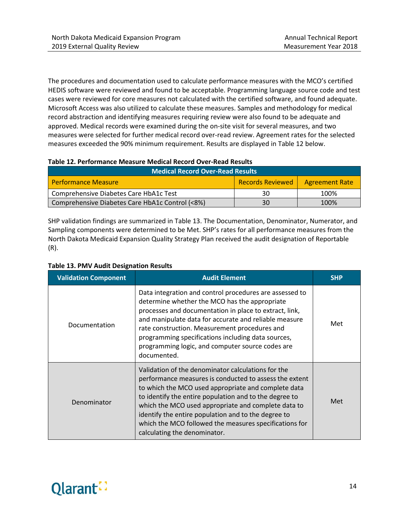The procedures and documentation used to calculate performance measures with the MCO's certified HEDIS software were reviewed and found to be acceptable. Programming language source code and test cases were reviewed for core measures not calculated with the certified software, and found adequate. Microsoft Access was also utilized to calculate these measures. Samples and methodology for medical record abstraction and identifying measures requiring review were also found to be adequate and approved. Medical records were examined during the on-site visit for several measures, and two measures were selected for further medical record over-read review. Agreement rates for the selected measures exceeded the 90% minimum requirement. Results are displayed in Table 12 below.

#### **Table 12. Performance Measure Medical Record Over-Read Results**

| <b>Medical Record Over-Read Results</b>         |                  |                       |  |  |
|-------------------------------------------------|------------------|-----------------------|--|--|
| <b>Performance Measure</b>                      | Records Reviewed | <b>Agreement Rate</b> |  |  |
| Comprehensive Diabetes Care HbA1c Test          | 30               | 100%                  |  |  |
| Comprehensive Diabetes Care HbA1c Control (<8%) | 30               | 100%                  |  |  |

SHP validation findings are summarized in Table 13. The Documentation, Denominator, Numerator, and Sampling components were determined to be Met. SHP's rates for all performance measures from the North Dakota Medicaid Expansion Quality Strategy Plan received the audit designation of Reportable (R).

| <b>Validation Component</b> | <b>Audit Element</b>                                                                                                                                                                                                                                                                                                                                                                                                                  | <b>SHP</b> |
|-----------------------------|---------------------------------------------------------------------------------------------------------------------------------------------------------------------------------------------------------------------------------------------------------------------------------------------------------------------------------------------------------------------------------------------------------------------------------------|------------|
| Documentation               | Data integration and control procedures are assessed to<br>determine whether the MCO has the appropriate<br>processes and documentation in place to extract, link,<br>and manipulate data for accurate and reliable measure<br>rate construction. Measurement procedures and<br>programming specifications including data sources,<br>programming logic, and computer source codes are<br>documented.                                 | Met        |
| Denominator                 | Validation of the denominator calculations for the<br>performance measures is conducted to assess the extent<br>to which the MCO used appropriate and complete data<br>to identify the entire population and to the degree to<br>which the MCO used appropriate and complete data to<br>identify the entire population and to the degree to<br>which the MCO followed the measures specifications for<br>calculating the denominator. | Met        |

#### **Table 13. PMV Audit Designation Results**

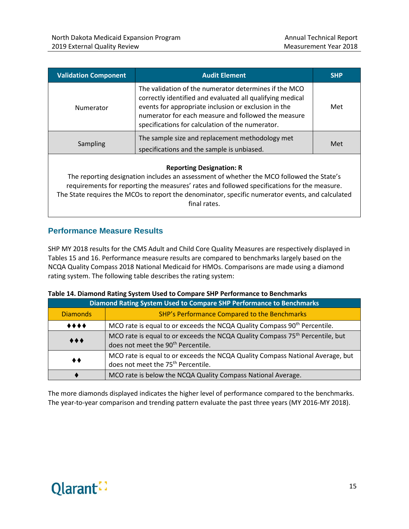| <b>Validation Component</b> | <b>Audit Element</b>                                                                                                                                                                                                                                                                  | <b>SHP</b> |
|-----------------------------|---------------------------------------------------------------------------------------------------------------------------------------------------------------------------------------------------------------------------------------------------------------------------------------|------------|
| Numerator                   | The validation of the numerator determines if the MCO<br>correctly identified and evaluated all qualifying medical<br>events for appropriate inclusion or exclusion in the<br>numerator for each measure and followed the measure<br>specifications for calculation of the numerator. | Met        |
| <b>Sampling</b>             | The sample size and replacement methodology met<br>specifications and the sample is unbiased.                                                                                                                                                                                         | Met        |
|                             |                                                                                                                                                                                                                                                                                       |            |

#### **Reporting Designation: R**

The reporting designation includes an assessment of whether the MCO followed the State's requirements for reporting the measures' rates and followed specifications for the measure. The State requires the MCOs to report the denominator, specific numerator events, and calculated final rates.

#### **Performance Measure Results**

SHP MY 2018 results for the CMS Adult and Child Core Quality Measures are respectively displayed in Tables 15 and 16. Performance measure results are compared to benchmarks largely based on the NCQA Quality Compass 2018 National Medicaid for HMOs. Comparisons are made using a diamond rating system. The following table describes the rating system:

|                                | Diamond Rating System Used to Compare SHP Performance to Benchmarks                                                                         |  |  |  |
|--------------------------------|---------------------------------------------------------------------------------------------------------------------------------------------|--|--|--|
| <b>Diamonds</b>                | SHP's Performance Compared to the Benchmarks                                                                                                |  |  |  |
| $\bullet\bullet\bullet\bullet$ | MCO rate is equal to or exceeds the NCQA Quality Compass 90 <sup>th</sup> Percentile.                                                       |  |  |  |
| $\bullet\bullet\bullet$        | MCO rate is equal to or exceeds the NCQA Quality Compass 75 <sup>th</sup> Percentile, but<br>does not meet the 90 <sup>th</sup> Percentile. |  |  |  |
| ◆◆                             | MCO rate is equal to or exceeds the NCQA Quality Compass National Average, but<br>does not meet the 75 <sup>th</sup> Percentile.            |  |  |  |
|                                | MCO rate is below the NCQA Quality Compass National Average.                                                                                |  |  |  |

#### **Table 14. Diamond Rating System Used to Compare SHP Performance to Benchmarks**

The more diamonds displayed indicates the higher level of performance compared to the benchmarks. The year-to-year comparison and trending pattern evaluate the past three years (MY 2016-MY 2018).

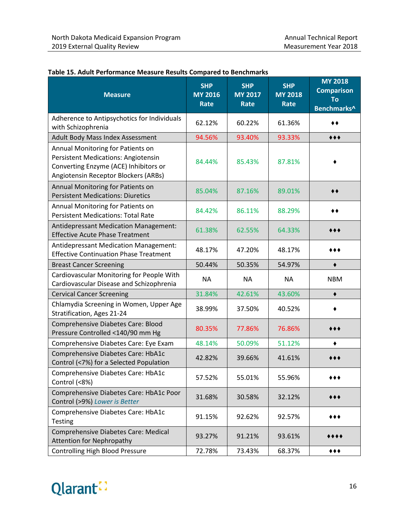| <b>Measure</b>                                                                                                                                                   | <b>SHP</b><br><b>MY 2016</b><br>Rate | <b>SHP</b><br><b>MY 2017</b><br>Rate | <b>SHP</b><br><b>MY 2018</b><br>Rate | <b>MY 2018</b><br><b>Comparison</b><br>To<br>Benchmarks^ |
|------------------------------------------------------------------------------------------------------------------------------------------------------------------|--------------------------------------|--------------------------------------|--------------------------------------|----------------------------------------------------------|
| Adherence to Antipsychotics for Individuals<br>with Schizophrenia                                                                                                | 62.12%                               | 60.22%                               | 61.36%                               | ◆◆                                                       |
| Adult Body Mass Index Assessment                                                                                                                                 | 94.56%                               | 93.40%                               | 93.33%                               | $***$                                                    |
| Annual Monitoring for Patients on<br><b>Persistent Medications: Angiotensin</b><br>Converting Enzyme (ACE) Inhibitors or<br>Angiotensin Receptor Blockers (ARBs) | 84.44%                               | 85.43%                               | 87.81%                               |                                                          |
| Annual Monitoring for Patients on<br><b>Persistent Medications: Diuretics</b>                                                                                    | 85.04%                               | 87.16%                               | 89.01%                               | ◆◆                                                       |
| Annual Monitoring for Patients on<br><b>Persistent Medications: Total Rate</b>                                                                                   | 84.42%                               | 86.11%                               | 88.29%                               | ◆◆                                                       |
| <b>Antidepressant Medication Management:</b><br><b>Effective Acute Phase Treatment</b>                                                                           | 61.38%                               | 62.55%                               | 64.33%                               |                                                          |
| Antidepressant Medication Management:<br><b>Effective Continuation Phase Treatment</b>                                                                           | 48.17%                               | 47.20%                               | 48.17%                               | ◆ ◆ ◆                                                    |
| <b>Breast Cancer Screening</b>                                                                                                                                   | 50.44%                               | 50.35%                               | 54.97%                               | ٠                                                        |
| Cardiovascular Monitoring for People With<br>Cardiovascular Disease and Schizophrenia                                                                            | NA                                   | <b>NA</b>                            | <b>NA</b>                            | <b>NBM</b>                                               |
| <b>Cervical Cancer Screening</b>                                                                                                                                 | 31.84%                               | 42.61%                               | 43.60%                               |                                                          |
| Chlamydia Screening in Women, Upper Age<br>Stratification, Ages 21-24                                                                                            | 38.99%                               | 37.50%                               | 40.52%                               |                                                          |
| Comprehensive Diabetes Care: Blood<br>Pressure Controlled <140/90 mm Hg                                                                                          | 80.35%                               | 77.86%                               | 76.86%                               | 00€                                                      |
| Comprehensive Diabetes Care: Eye Exam                                                                                                                            | 48.14%                               | 50.09%                               | 51.12%                               | ٠                                                        |
| Comprehensive Diabetes Care: HbA1c<br>Control (<7%) for a Selected Population                                                                                    | 42.82%                               | 39.66%                               | 41.61%                               | • • •                                                    |
| Comprehensive Diabetes Care: HbA1c<br>Control (<8%)                                                                                                              | 57.52%                               | 55.01%                               | 55.96%                               |                                                          |
| Comprehensive Diabetes Care: HbA1c Poor<br>Control (>9%) Lower is Better                                                                                         | 31.68%                               | 30.58%                               | 32.12%                               | ◆◆◆                                                      |
| Comprehensive Diabetes Care: HbA1c<br><b>Testing</b>                                                                                                             | 91.15%                               | 92.62%                               | 92.57%                               | ***                                                      |
| Comprehensive Diabetes Care: Medical<br><b>Attention for Nephropathy</b>                                                                                         | 93.27%                               | 91.21%                               | 93.61%                               | ****                                                     |
| <b>Controlling High Blood Pressure</b>                                                                                                                           | 72.78%                               | 73.43%                               | 68.37%                               | ◆◆◆                                                      |

#### **Table 15. Adult Performance Measure Results Compared to Benchmarks**

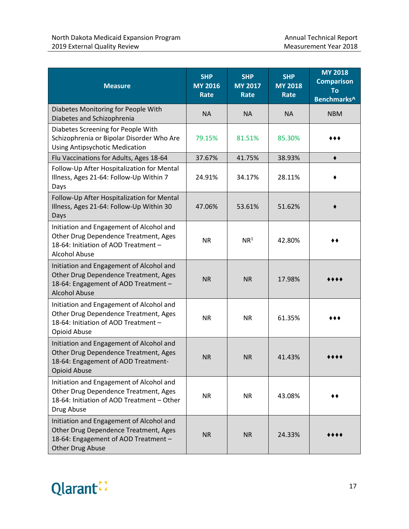| <b>Measure</b>                                                                                                                                    | <b>SHP</b><br><b>MY 2016</b><br><b>Rate</b> | <b>SHP</b><br><b>MY 2017</b><br><b>Rate</b> | <b>SHP</b><br><b>MY 2018</b><br><b>Rate</b> | <b>MY 2018</b><br><b>Comparison</b><br>To<br>Benchmarks^ |
|---------------------------------------------------------------------------------------------------------------------------------------------------|---------------------------------------------|---------------------------------------------|---------------------------------------------|----------------------------------------------------------|
| Diabetes Monitoring for People With<br>Diabetes and Schizophrenia                                                                                 | <b>NA</b>                                   | <b>NA</b>                                   | <b>NA</b>                                   | <b>NBM</b>                                               |
| Diabetes Screening for People With<br>Schizophrenia or Bipolar Disorder Who Are<br><b>Using Antipsychotic Medication</b>                          | 79.15%                                      | 81.51%                                      | 85.30%                                      |                                                          |
| Flu Vaccinations for Adults, Ages 18-64                                                                                                           | 37.67%                                      | 41.75%                                      | 38.93%                                      | $\blacklozenge$                                          |
| Follow-Up After Hospitalization for Mental<br>Illness, Ages 21-64: Follow-Up Within 7<br>Days                                                     | 24.91%                                      | 34.17%                                      | 28.11%                                      |                                                          |
| Follow-Up After Hospitalization for Mental<br>Illness, Ages 21-64: Follow-Up Within 30<br>Days                                                    | 47.06%                                      | 53.61%                                      | 51.62%                                      |                                                          |
| Initiation and Engagement of Alcohol and<br>Other Drug Dependence Treatment, Ages<br>18-64: Initiation of AOD Treatment -<br><b>Alcohol Abuse</b> | <b>NR</b>                                   | NR <sup>1</sup>                             | 42.80%                                      |                                                          |
| Initiation and Engagement of Alcohol and<br>Other Drug Dependence Treatment, Ages<br>18-64: Engagement of AOD Treatment -<br><b>Alcohol Abuse</b> | <b>NR</b>                                   | <b>NR</b>                                   | 17.98%                                      |                                                          |
| Initiation and Engagement of Alcohol and<br>Other Drug Dependence Treatment, Ages<br>18-64: Initiation of AOD Treatment -<br>Opioid Abuse         | <b>NR</b>                                   | <b>NR</b>                                   | 61.35%                                      |                                                          |
| Initiation and Engagement of Alcohol and<br>Other Drug Dependence Treatment, Ages<br>18-64: Engagement of AOD Treatment-<br><b>Opioid Abuse</b>   | <b>NR</b>                                   | <b>NR</b>                                   | 41.43%                                      |                                                          |
| Initiation and Engagement of Alcohol and<br>Other Drug Dependence Treatment, Ages<br>18-64: Initiation of AOD Treatment - Other<br>Drug Abuse     | <b>NR</b>                                   | <b>NR</b>                                   | 43.08%                                      |                                                          |
| Initiation and Engagement of Alcohol and<br>Other Drug Dependence Treatment, Ages<br>18-64: Engagement of AOD Treatment -<br>Other Drug Abuse     | <b>NR</b>                                   | <b>NR</b>                                   | 24.33%                                      |                                                          |

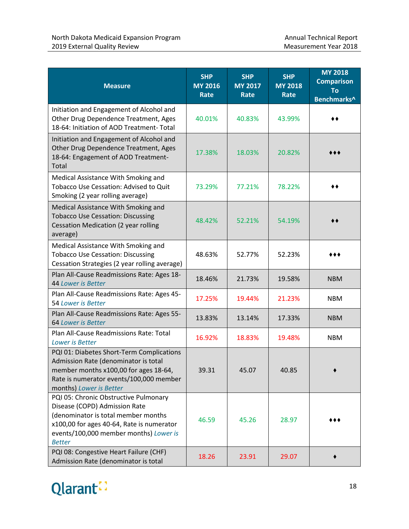| <b>Measure</b>                                                                                                                                                                                                        | <b>SHP</b><br><b>MY 2016</b><br><b>Rate</b> | <b>SHP</b><br><b>MY 2017</b><br>Rate | <b>SHP</b><br><b>MY 2018</b><br><b>Rate</b> | <b>MY 2018</b><br><b>Comparison</b><br><b>To</b><br>Benchmarks^ |
|-----------------------------------------------------------------------------------------------------------------------------------------------------------------------------------------------------------------------|---------------------------------------------|--------------------------------------|---------------------------------------------|-----------------------------------------------------------------|
| Initiation and Engagement of Alcohol and<br>Other Drug Dependence Treatment, Ages<br>18-64: Initiation of AOD Treatment- Total                                                                                        | 40.01%                                      | 40.83%                               | 43.99%                                      |                                                                 |
| Initiation and Engagement of Alcohol and<br>Other Drug Dependence Treatment, Ages<br>18-64: Engagement of AOD Treatment-<br>Total                                                                                     | 17.38%                                      | 18.03%                               | 20.82%                                      |                                                                 |
| Medical Assistance With Smoking and<br>Tobacco Use Cessation: Advised to Quit<br>Smoking (2 year rolling average)                                                                                                     | 73.29%                                      | 77.21%                               | 78.22%                                      |                                                                 |
| Medical Assistance With Smoking and<br><b>Tobacco Use Cessation: Discussing</b><br>Cessation Medication (2 year rolling<br>average)                                                                                   | 48.42%                                      | 52.21%                               | 54.19%                                      |                                                                 |
| Medical Assistance With Smoking and<br><b>Tobacco Use Cessation: Discussing</b><br>Cessation Strategies (2 year rolling average)                                                                                      | 48.63%                                      | 52.77%                               | 52.23%                                      |                                                                 |
| Plan All-Cause Readmissions Rate: Ages 18-<br>44 Lower is Better                                                                                                                                                      | 18.46%                                      | 21.73%                               | 19.58%                                      | <b>NBM</b>                                                      |
| Plan All-Cause Readmissions Rate: Ages 45-<br>54 Lower is Better                                                                                                                                                      | 17.25%                                      | 19.44%                               | 21.23%                                      | <b>NBM</b>                                                      |
| Plan All-Cause Readmissions Rate: Ages 55-<br>64 Lower is Better                                                                                                                                                      | 13.83%                                      | 13.14%                               | 17.33%                                      | <b>NBM</b>                                                      |
| Plan All-Cause Readmissions Rate: Total<br>Lower is Better                                                                                                                                                            | 16.92%                                      | 18.83%                               | 19.48%                                      | <b>NBM</b>                                                      |
| PQI 01: Diabetes Short-Term Complications<br>Admission Rate (denominator is total<br>member months x100,00 for ages 18-64,<br>Rate is numerator events/100,000 member<br>months) Lower is Better                      | 39.31                                       | 45.07                                | 40.85                                       |                                                                 |
| PQI 05: Chronic Obstructive Pulmonary<br>Disease (COPD) Admission Rate<br>(denominator is total member months<br>x100,00 for ages 40-64, Rate is numerator<br>events/100,000 member months) Lower is<br><b>Better</b> | 46.59                                       | 45.26                                | 28.97                                       |                                                                 |
| PQI 08: Congestive Heart Failure (CHF)<br>Admission Rate (denominator is total                                                                                                                                        | 18.26                                       | 23.91                                | 29.07                                       |                                                                 |

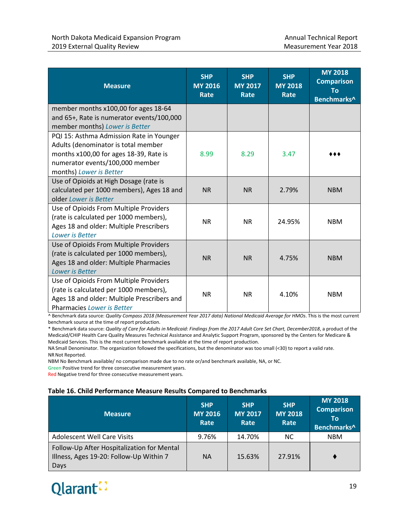| <b>Measure</b>                                                                                                                                                                          | <b>SHP</b><br><b>MY 2016</b><br><b>Rate</b> | <b>SHP</b><br><b>MY 2017</b><br>Rate | <b>SHP</b><br><b>MY 2018</b><br>Rate | <b>MY 2018</b><br><b>Comparison</b><br>To<br>Benchmarks^ |
|-----------------------------------------------------------------------------------------------------------------------------------------------------------------------------------------|---------------------------------------------|--------------------------------------|--------------------------------------|----------------------------------------------------------|
| member months x100,00 for ages 18-64<br>and 65+, Rate is numerator events/100,000<br>member months) Lower is Better                                                                     |                                             |                                      |                                      |                                                          |
| PQI 15: Asthma Admission Rate in Younger<br>Adults (denominator is total member<br>months x100,00 for ages 18-39, Rate is<br>numerator events/100,000 member<br>months) Lower is Better | 8.99                                        | 8.29                                 | 3.47                                 |                                                          |
| Use of Opioids at High Dosage (rate is<br>calculated per 1000 members), Ages 18 and<br>older Lower is Better                                                                            | <b>NR</b>                                   | <b>NR</b>                            | 2.79%                                | <b>NBM</b>                                               |
| Use of Opioids From Multiple Providers<br>(rate is calculated per 1000 members),<br>Ages 18 and older: Multiple Prescribers<br>Lower is Better                                          | <b>NR</b>                                   | <b>NR</b>                            | 24.95%                               | <b>NBM</b>                                               |
| Use of Opioids From Multiple Providers<br>(rate is calculated per 1000 members),<br>Ages 18 and older: Multiple Pharmacies<br>Lower is Better                                           | <b>NR</b>                                   | <b>NR</b>                            | 4.75%                                | <b>NBM</b>                                               |
| Use of Opioids From Multiple Providers<br>(rate is calculated per 1000 members),<br>Ages 18 and older: Multiple Prescribers and<br><b>Pharmacies Lower is Better</b>                    | <b>NR</b>                                   | <b>NR</b>                            | 4.10%                                | <b>NBM</b>                                               |

^ Benchmark data source: *Quality Compass 2018 (Measurement Year 2017 data) National Medicaid Average for HMOs*. This is the most current benchmark source at the time of report production.

\* Benchmark data source: *Quality of Care for Adults in Medicaid: Findings from the 2017 Adult Core Set Chart, December2018*, a product of the Medicaid/CHIP Health Care Quality Measures Technical Assistance and Analytic Support Program, sponsored by the Centers for Medicare & Medicaid Services. This is the most current benchmark available at the time of report production.

NA Small Denominator. The organization followed the specifications, but the denominator was too small (<30) to report a valid rate. NRNot Reported.

NBM No Benchmark available/ no comparison made due to no rate or/and benchmark available, NA, or NC.

Green Positive trend for three consecutive measurement years.

Red Negative trend for three consecutive measurement years.

#### **Table 16. Child Performance Measure Results Compared to Benchmarks**

| <b>Measure</b>                                                                                | <b>SHP</b><br><b>MY 2016</b><br>Rate | <b>SHP</b><br><b>MY 2017</b><br>Rate | <b>SHP</b><br><b>MY 2018</b><br>Rate | <b>MY 2018</b><br><b>Comparison</b><br>Τo<br>Benchmarks^ |
|-----------------------------------------------------------------------------------------------|--------------------------------------|--------------------------------------|--------------------------------------|----------------------------------------------------------|
| <b>Adolescent Well Care Visits</b>                                                            | 9.76%                                | 14.70%                               | NC.                                  | <b>NBM</b>                                               |
| Follow-Up After Hospitalization for Mental<br>Illness, Ages 19-20: Follow-Up Within 7<br>Days | <b>NA</b>                            | 15.63%                               | 27.91%                               |                                                          |

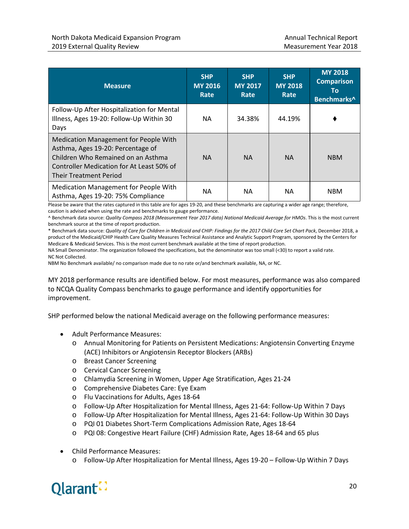| <b>Measure</b>                                                                                                                                                                                 | <b>SHP</b><br><b>MY 2016</b><br>Rate | <b>SHP</b><br><b>MY 2017</b><br>Rate | <b>SHP</b><br><b>MY 2018</b><br>Rate | <b>MY 2018</b><br><b>Comparison</b><br>Τo<br>Benchmarks^ |
|------------------------------------------------------------------------------------------------------------------------------------------------------------------------------------------------|--------------------------------------|--------------------------------------|--------------------------------------|----------------------------------------------------------|
| Follow-Up After Hospitalization for Mental<br>Illness, Ages 19-20: Follow-Up Within 30<br>Days                                                                                                 | ΝA                                   | 34.38%                               | 44.19%                               |                                                          |
| Medication Management for People With<br>Asthma, Ages 19-20: Percentage of<br>Children Who Remained on an Asthma<br>Controller Medication for At Least 50% of<br><b>Their Treatment Period</b> | <b>NA</b>                            | <b>NA</b>                            | <b>NA</b>                            | <b>NBM</b>                                               |
| Medication Management for People With<br>Asthma, Ages 19-20: 75% Compliance                                                                                                                    | ΝA                                   | NA.                                  | <b>NA</b>                            | <b>NBM</b>                                               |

Please be aware that the rates captured in this table are for ages 19-20, and these benchmarks are capturing a wider age range; therefore, caution is advised when using the rate and benchmarks to gauge performance.

^ Benchmark data source: *Quality Compass 2018 (Measurement Year 2017 data) National Medicaid Average for HMOs*. This is the most current benchmark source at the time of report production.

\* Benchmark data source: *Quality of Care for Children in Medicaid and CHIP: Findings for the 2017 Child Core Set Chart Pack*, December 2018, a product of the Medicaid/CHIP Health Care Quality Measures Technical Assistance and Analytic Support Program, sponsored by the Centers for Medicare & Medicaid Services. This is the most current benchmark available at the time of report production.

NA Small Denominator. The organization followed the specifications, but the denominator was too small (<30) to report a valid rate. NC Not Collected.

NBM No Benchmark available/ no comparison made due to no rate or/and benchmark available, NA, or NC.

MY 2018 performance results are identified below. For most measures, performance was also compared to NCQA Quality Compass benchmarks to gauge performance and identify opportunities for improvement.

SHP performed below the national Medicaid average on the following performance measures:

- Adult Performance Measures:
	- o Annual Monitoring for Patients on Persistent Medications: Angiotensin Converting Enzyme (ACE) Inhibitors or Angiotensin Receptor Blockers (ARBs)
	- o Breast Cancer Screening
	- o Cervical Cancer Screening
	- o Chlamydia Screening in Women, Upper Age Stratification, Ages 21-24
	- o Comprehensive Diabetes Care: Eye Exam
	- o Flu Vaccinations for Adults, Ages 18-64
	- o Follow-Up After Hospitalization for Mental Illness, Ages 21-64: Follow-Up Within 7 Days
	- o Follow-Up After Hospitalization for Mental Illness, Ages 21-64: Follow-Up Within 30 Days
	- o PQI 01 Diabetes Short-Term Complications Admission Rate, Ages 18-64
	- o PQI 08: Congestive Heart Failure (CHF) Admission Rate, Ages 18-64 and 65 plus
- Child Performance Measures:
	- o Follow-Up After Hospitalization for Mental Illness, Ages 19-20 Follow-Up Within 7 Days

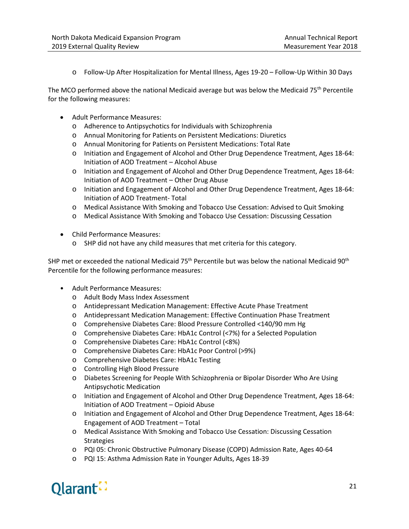o Follow-Up After Hospitalization for Mental Illness, Ages 19-20 – Follow-Up Within 30 Days

The MCO performed above the national Medicaid average but was below the Medicaid  $75<sup>th</sup>$  Percentile for the following measures:

- Adult Performance Measures:
	- o Adherence to Antipsychotics for Individuals with Schizophrenia
	- o Annual Monitoring for Patients on Persistent Medications: Diuretics
	- o Annual Monitoring for Patients on Persistent Medications: Total Rate
	- o Initiation and Engagement of Alcohol and Other Drug Dependence Treatment, Ages 18-64: Initiation of AOD Treatment – Alcohol Abuse
	- o Initiation and Engagement of Alcohol and Other Drug Dependence Treatment, Ages 18-64: Initiation of AOD Treatment – Other Drug Abuse
	- o Initiation and Engagement of Alcohol and Other Drug Dependence Treatment, Ages 18-64: Initiation of AOD Treatment- Total
	- o Medical Assistance With Smoking and Tobacco Use Cessation: Advised to Quit Smoking
	- o Medical Assistance With Smoking and Tobacco Use Cessation: Discussing Cessation
- Child Performance Measures:
	- o SHP did not have any child measures that met criteria for this category.

SHP met or exceeded the national Medicaid 75<sup>th</sup> Percentile but was below the national Medicaid 90<sup>th</sup> Percentile for the following performance measures:

- Adult Performance Measures:
	- o Adult Body Mass Index Assessment
	- o Antidepressant Medication Management: Effective Acute Phase Treatment
	- o Antidepressant Medication Management: Effective Continuation Phase Treatment
	- o Comprehensive Diabetes Care: Blood Pressure Controlled <140/90 mm Hg
	- o Comprehensive Diabetes Care: HbA1c Control (<7%) for a Selected Population
	- o Comprehensive Diabetes Care: HbA1c Control (<8%)
	- o Comprehensive Diabetes Care: HbA1c Poor Control (>9%)
	- o Comprehensive Diabetes Care: HbA1c Testing
	- o Controlling High Blood Pressure
	- o Diabetes Screening for People With Schizophrenia or Bipolar Disorder Who Are Using Antipsychotic Medication
	- o Initiation and Engagement of Alcohol and Other Drug Dependence Treatment, Ages 18-64: Initiation of AOD Treatment – Opioid Abuse
	- o Initiation and Engagement of Alcohol and Other Drug Dependence Treatment, Ages 18-64: Engagement of AOD Treatment – Total
	- o Medical Assistance With Smoking and Tobacco Use Cessation: Discussing Cessation **Strategies**
	- o PQI 05: Chronic Obstructive Pulmonary Disease (COPD) Admission Rate, Ages 40-64
	- o PQI 15: Asthma Admission Rate in Younger Adults, Ages 18-39

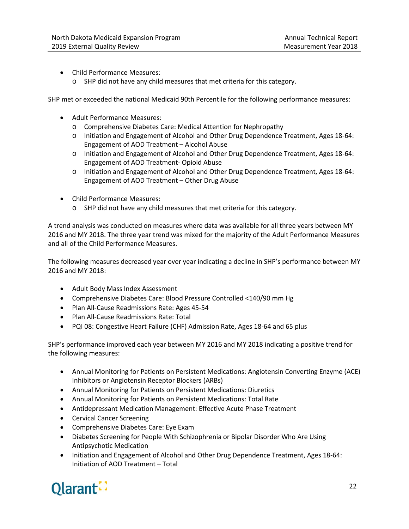- Child Performance Measures:
	- o SHP did not have any child measures that met criteria for this category.

SHP met or exceeded the national Medicaid 90th Percentile for the following performance measures:

- Adult Performance Measures:
	- o Comprehensive Diabetes Care: Medical Attention for Nephropathy
	- o Initiation and Engagement of Alcohol and Other Drug Dependence Treatment, Ages 18-64: Engagement of AOD Treatment – Alcohol Abuse
	- o Initiation and Engagement of Alcohol and Other Drug Dependence Treatment, Ages 18-64: Engagement of AOD Treatment- Opioid Abuse
	- o Initiation and Engagement of Alcohol and Other Drug Dependence Treatment, Ages 18-64: Engagement of AOD Treatment – Other Drug Abuse
- Child Performance Measures:
	- o SHP did not have any child measures that met criteria for this category.

A trend analysis was conducted on measures where data was available for all three years between MY 2016 and MY 2018. The three year trend was mixed for the majority of the Adult Performance Measures and all of the Child Performance Measures.

The following measures decreased year over year indicating a decline in SHP's performance between MY 2016 and MY 2018:

- Adult Body Mass Index Assessment
- Comprehensive Diabetes Care: Blood Pressure Controlled <140/90 mm Hg
- Plan All-Cause Readmissions Rate: Ages 45-54
- Plan All-Cause Readmissions Rate: Total
- PQI 08: Congestive Heart Failure (CHF) Admission Rate, Ages 18-64 and 65 plus

SHP's performance improved each year between MY 2016 and MY 2018 indicating a positive trend for the following measures:

- Annual Monitoring for Patients on Persistent Medications: Angiotensin Converting Enzyme (ACE) Inhibitors or Angiotensin Receptor Blockers (ARBs)
- Annual Monitoring for Patients on Persistent Medications: Diuretics
- Annual Monitoring for Patients on Persistent Medications: Total Rate
- Antidepressant Medication Management: Effective Acute Phase Treatment
- Cervical Cancer Screening
- Comprehensive Diabetes Care: Eye Exam
- Diabetes Screening for People With Schizophrenia or Bipolar Disorder Who Are Using Antipsychotic Medication
- Initiation and Engagement of Alcohol and Other Drug Dependence Treatment, Ages 18-64: Initiation of AOD Treatment – Total

# Olarant :-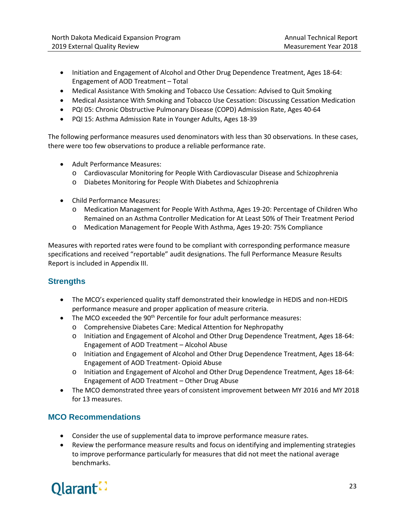- Initiation and Engagement of Alcohol and Other Drug Dependence Treatment, Ages 18-64: Engagement of AOD Treatment – Total
- Medical Assistance With Smoking and Tobacco Use Cessation: Advised to Quit Smoking
- Medical Assistance With Smoking and Tobacco Use Cessation: Discussing Cessation Medication
- PQI 05: Chronic Obstructive Pulmonary Disease (COPD) Admission Rate, Ages 40-64
- PQI 15: Asthma Admission Rate in Younger Adults, Ages 18-39

The following performance measures used denominators with less than 30 observations. In these cases, there were too few observations to produce a reliable performance rate.

- Adult Performance Measures:
	- o Cardiovascular Monitoring for People With Cardiovascular Disease and Schizophrenia
	- o Diabetes Monitoring for People With Diabetes and Schizophrenia
- Child Performance Measures:
	- o Medication Management for People With Asthma, Ages 19-20: Percentage of Children Who Remained on an Asthma Controller Medication for At Least 50% of Their Treatment Period
	- o Medication Management for People With Asthma, Ages 19-20: 75% Compliance

Measures with reported rates were found to be compliant with corresponding performance measure specifications and received "reportable" audit designations. The full Performance Measure Results Report is included in Appendix III.

#### **Strengths**

- The MCO's experienced quality staff demonstrated their knowledge in HEDIS and non-HEDIS performance measure and proper application of measure criteria.
- The MCO exceeded the  $90<sup>th</sup>$  Percentile for four adult performance measures:
	- o Comprehensive Diabetes Care: Medical Attention for Nephropathy
	- o Initiation and Engagement of Alcohol and Other Drug Dependence Treatment, Ages 18-64: Engagement of AOD Treatment – Alcohol Abuse
	- o Initiation and Engagement of Alcohol and Other Drug Dependence Treatment, Ages 18-64: Engagement of AOD Treatment- Opioid Abuse
	- o Initiation and Engagement of Alcohol and Other Drug Dependence Treatment, Ages 18-64: Engagement of AOD Treatment – Other Drug Abuse
- The MCO demonstrated three years of consistent improvement between MY 2016 and MY 2018 for 13 measures.

#### **MCO Recommendations**

- Consider the use of supplemental data to improve performance measure rates.
- Review the performance measure results and focus on identifying and implementing strategies to improve performance particularly for measures that did not meet the national average benchmarks.

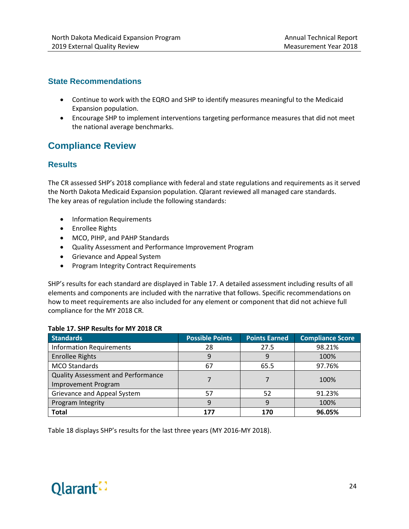#### **State Recommendations**

- Continue to work with the EQRO and SHP to identify measures meaningful to the Medicaid Expansion population.
- Encourage SHP to implement interventions targeting performance measures that did not meet the national average benchmarks.

# <span id="page-30-0"></span>**Compliance Review**

#### **Results**

The CR assessed SHP's 2018 compliance with federal and state regulations and requirements as it served the North Dakota Medicaid Expansion population. Qlarant reviewed all managed care standards. The key areas of regulation include the following standards:

- Information Requirements
- Enrollee Rights
- MCO, PIHP, and PAHP Standards
- Quality Assessment and Performance Improvement Program
- Grievance and Appeal System
- Program Integrity Contract Requirements

SHP's results for each standard are displayed in Table 17. A detailed assessment including results of all elements and components are included with the narrative that follows. Specific recommendations on how to meet requirements are also included for any element or component that did not achieve full compliance for the MY 2018 CR.

#### **Table 17. SHP Results for MY 2018 CR**

| <b>Standards</b>                                                 | <b>Possible Points</b> | <b>Points Earned</b> | <b>Compliance Score</b> |
|------------------------------------------------------------------|------------------------|----------------------|-------------------------|
| <b>Information Requirements</b>                                  | 28                     | 27.5                 | 98.21%                  |
| <b>Enrollee Rights</b>                                           | 9                      | 9                    | 100%                    |
| <b>MCO Standards</b>                                             | 67                     | 65.5                 | 97.76%                  |
| Quality Assessment and Performance<br><b>Improvement Program</b> |                        |                      | 100%                    |
| Grievance and Appeal System                                      | 57                     | 52                   | 91.23%                  |
| Program Integrity                                                | 9                      | 9                    | 100%                    |
| <b>Total</b>                                                     | 177                    | 170                  | 96.05%                  |

Table 18 displays SHP's results for the last three years (MY 2016-MY 2018).

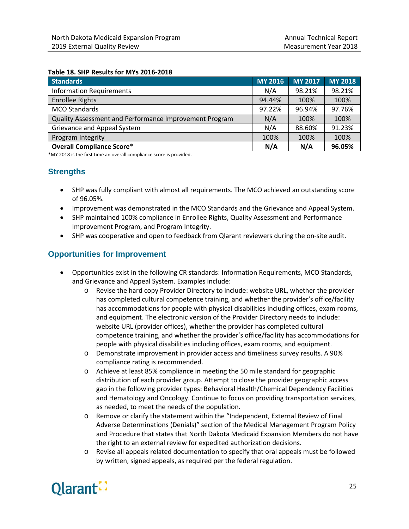#### **Table 18. SHP Results for MYs 2016-2018**

| <b>Standards</b>                                       | <b>MY 2016</b> | <b>MY 2017</b> | <b>MY 2018</b> |
|--------------------------------------------------------|----------------|----------------|----------------|
| <b>Information Requirements</b>                        | N/A            | 98.21%         | 98.21%         |
| <b>Enrollee Rights</b>                                 | 94.44%         | 100%           | 100%           |
| <b>MCO Standards</b>                                   | 97.22%         | 96.94%         | 97.76%         |
| Quality Assessment and Performance Improvement Program | N/A            | 100%           | 100%           |
| Grievance and Appeal System                            | N/A            | 88.60%         | 91.23%         |
| Program Integrity                                      | 100%           | 100%           | 100%           |
| <b>Overall Compliance Score*</b>                       | N/A            | N/A            | 96.05%         |

\*MY 2018 is the first time an overall compliance score is provided.

#### **Strengths**

- SHP was fully compliant with almost all requirements. The MCO achieved an outstanding score of 96.05%.
- Improvement was demonstrated in the MCO Standards and the Grievance and Appeal System.
- SHP maintained 100% compliance in Enrollee Rights, Quality Assessment and Performance Improvement Program, and Program Integrity.
- SHP was cooperative and open to feedback from Qlarant reviewers during the on-site audit.

#### **Opportunities for Improvement**

- Opportunities exist in the following CR standards: Information Requirements, MCO Standards, and Grievance and Appeal System. Examples include:
	- o Revise the hard copy Provider Directory to include: website URL, whether the provider has completed cultural competence training, and whether the provider's office/facility has accommodations for people with physical disabilities including offices, exam rooms, and equipment. The electronic version of the Provider Directory needs to include: website URL (provider offices), whether the provider has completed cultural competence training, and whether the provider's office/facility has accommodations for people with physical disabilities including offices, exam rooms, and equipment.
	- o Demonstrate improvement in provider access and timeliness survey results. A 90% compliance rating is recommended.
	- o Achieve at least 85% compliance in meeting the 50 mile standard for geographic distribution of each provider group. Attempt to close the provider geographic access gap in the following provider types: Behavioral Health/Chemical Dependency Facilities and Hematology and Oncology. Continue to focus on providing transportation services, as needed, to meet the needs of the population*.*
	- o Remove or clarify the statement within the "Independent, External Review of Final Adverse Determinations (Denials)" section of the Medical Management Program Policy and Procedure that states that North Dakota Medicaid Expansion Members do not have the right to an external review for expedited authorization decisions.
	- o Revise all appeals related documentation to specify that oral appeals must be followed by written, signed appeals, as required per the federal regulation.

# Olarant.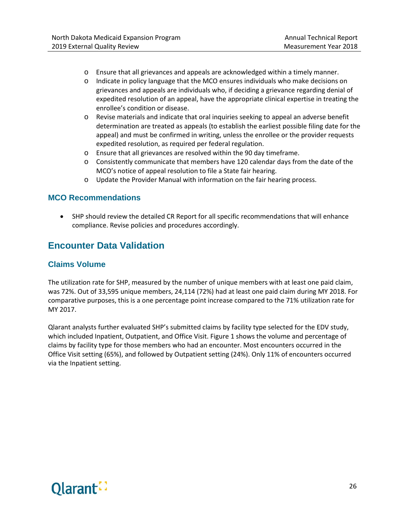- o Ensure that all grievances and appeals are acknowledged within a timely manner.
- o Indicate in policy language that the MCO ensures individuals who make decisions on grievances and appeals are individuals who, if deciding a grievance regarding denial of expedited resolution of an appeal, have the appropriate clinical expertise in treating the enrollee's condition or disease.
- o Revise materials and indicate that oral inquiries seeking to appeal an adverse benefit determination are treated as appeals (to establish the earliest possible filing date for the appeal) and must be confirmed in writing, unless the enrollee or the provider requests expedited resolution, as required per federal regulation.
- o Ensure that all grievances are resolved within the 90 day timeframe.
- o Consistently communicate that members have 120 calendar days from the date of the MCO's notice of appeal resolution to file a State fair hearing.
- o Update the Provider Manual with information on the fair hearing process.

#### **MCO Recommendations**

• SHP should review the detailed CR Report for all specific recommendations that will enhance compliance. Revise policies and procedures accordingly.

## <span id="page-32-0"></span>**Encounter Data Validation**

#### **Claims Volume**

The utilization rate for SHP, measured by the number of unique members with at least one paid claim, was 72%. Out of 33,595 unique members, 24,114 (72%) had at least one paid claim during MY 2018. For comparative purposes, this is a one percentage point increase compared to the 71% utilization rate for MY 2017.

Qlarant analysts further evaluated SHP's submitted claims by facility type selected for the EDV study, which included Inpatient, Outpatient, and Office Visit. Figure 1 shows the volume and percentage of claims by facility type for those members who had an encounter. Most encounters occurred in the Office Visit setting (65%), and followed by Outpatient setting (24%). Only 11% of encounters occurred via the Inpatient setting.

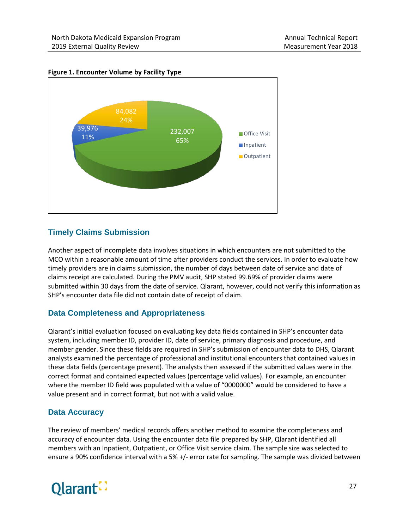

#### **Figure 1. Encounter Volume by Facility Type**

#### **Timely Claims Submission**

Another aspect of incomplete data involves situations in which encounters are not submitted to the MCO within a reasonable amount of time after providers conduct the services. In order to evaluate how timely providers are in claims submission, the number of days between date of service and date of claims receipt are calculated. During the PMV audit, SHP stated 99.69% of provider claims were submitted within 30 days from the date of service. Qlarant, however, could not verify this information as SHP's encounter data file did not contain date of receipt of claim.

#### **Data Completeness and Appropriateness**

Qlarant's initial evaluation focused on evaluating key data fields contained in SHP's encounter data system, including member ID, provider ID, date of service, primary diagnosis and procedure, and member gender. Since these fields are required in SHP's submission of encounter data to DHS, Qlarant analysts examined the percentage of professional and institutional encounters that contained values in these data fields (percentage present). The analysts then assessed if the submitted values were in the correct format and contained expected values (percentage valid values). For example, an encounter where the member ID field was populated with a value of "0000000" would be considered to have a value present and in correct format, but not with a valid value.

#### **Data Accuracy**

The review of members' medical records offers another method to examine the completeness and accuracy of encounter data. Using the encounter data file prepared by SHP, Qlarant identified all members with an Inpatient, Outpatient, or Office Visit service claim. The sample size was selected to ensure a 90% confidence interval with a 5% +/- error rate for sampling. The sample was divided between

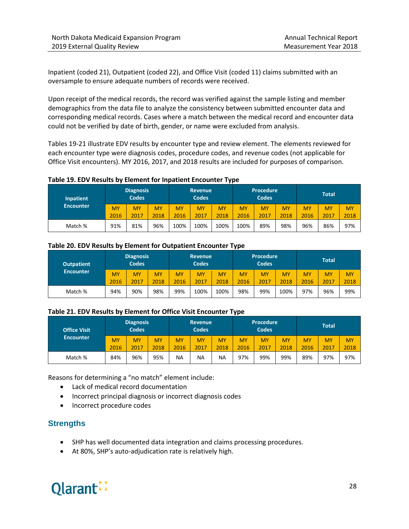Inpatient (coded 21), Outpatient (coded 22), and Office Visit (coded 11) claims submitted with an oversample to ensure adequate numbers of records were received.

Upon receipt of the medical records, the record was verified against the sample listing and member demographics from the data file to analyze the consistency between submitted encounter data and corresponding medical records. Cases where a match between the medical record and encounter data could not be verified by date of birth, gender, or name were excluded from analysis.

Tables 19-21 illustrate EDV results by encounter type and review element. The elements reviewed for each encounter type were diagnosis codes, procedure codes, and revenue codes (not applicable for Office Visit encounters). MY 2016, 2017, and 2018 results are included for purposes of comparison.

#### **Table 19. EDV Results by Element for Inpatient Encounter Type**

| Inpatient        | <b>Diagnosis</b><br><b>Codes</b> |           | <b>Revenue</b><br><b>Codes</b> |      | <b>Procedure</b><br><b>Codes</b> |           |           | <b>Total</b> |           |      |           |           |
|------------------|----------------------------------|-----------|--------------------------------|------|----------------------------------|-----------|-----------|--------------|-----------|------|-----------|-----------|
| <b>Encounter</b> | <b>MY</b>                        | <b>MY</b> | <b>MY</b>                      | MY   | <b>MY</b>                        | <b>MY</b> | <b>MY</b> | <b>MY</b>    | <b>MY</b> | MY   | <b>MY</b> | <b>MY</b> |
|                  | 2016                             | 2017      | 2018                           | 2016 | 2017                             | 2018      | 2016      | 2017         | 2018      | 2016 | 2017      | 2018      |
| Match %          | 91%                              | 81%       | 96%                            | 100% | 100%                             | 100%      | 100%      | 89%          | 98%       | 96%  | 86%       | 97%       |

#### **Table 20. EDV Results by Element for Outpatient Encounter Type**

| <b>Outpatient</b> |      | <b>Diagnosis</b><br><b>Codes</b> |           | <b>Revenue</b><br><b>Codes</b> |           |           | <b>Procedure</b><br><b>Codes</b> |      | <b>Total</b> |           |           |           |
|-------------------|------|----------------------------------|-----------|--------------------------------|-----------|-----------|----------------------------------|------|--------------|-----------|-----------|-----------|
| <b>Encounter</b>  | MY   | MY                               | <b>MY</b> | MY                             | <b>MY</b> | <b>MY</b> | <b>MY</b>                        | MY   | MY           | <b>MY</b> | <b>MY</b> | <b>MY</b> |
|                   | 2016 | 2017                             | 2018      | 2016                           | 2017      | 2018      | 2016                             | 2017 | 2018         | 2016      | 2017      | 2018      |
| Match %           | 94%  | 90%                              | 98%       | 99%                            | 100%      | 100%      | 98%                              | 99%  | 100%         | 97%       | 96%       | 99%       |

#### **Table 21. EDV Results by Element for Office Visit Encounter Type**

| <b>Office Visit</b> | <b>Diagnosis</b><br><b>Codes</b> |           |           |      | <b>Revenue</b><br><b>Codes</b> |           | <b>Procedure</b><br><b>Codes</b> |      | <b>Total</b> |      |           |           |
|---------------------|----------------------------------|-----------|-----------|------|--------------------------------|-----------|----------------------------------|------|--------------|------|-----------|-----------|
| <b>Encounter</b>    | <b>MY</b>                        | <b>MY</b> | <b>MY</b> | MY   | MY                             | MY        | MY                               | MY   | MY           | MY   | <b>MY</b> | <b>MY</b> |
|                     | 2016                             | 2017      | 2018      | 2016 | 2017                           | 2018      | 2016                             | 2017 | 2018         | 2016 | 2017      | 2018      |
| Match %             | 84%                              | 96%       | 95%       | NA   | <b>NA</b>                      | <b>NA</b> | 97%                              | 99%  | 99%          | 89%  | 97%       | 97%       |

Reasons for determining a "no match" element include:

- Lack of medical record documentation
- Incorrect principal diagnosis or incorrect diagnosis codes
- Incorrect procedure codes

#### **Strengths**

- SHP has well documented data integration and claims processing procedures.
- At 80%, SHP's auto-adjudication rate is relatively high.

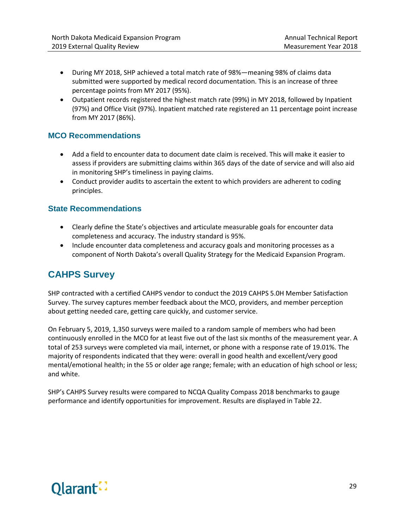- During MY 2018, SHP achieved a total match rate of 98%—meaning 98% of claims data submitted were supported by medical record documentation. This is an increase of three percentage points from MY 2017 (95%).
- Outpatient records registered the highest match rate (99%) in MY 2018, followed by Inpatient (97%) and Office Visit (97%). Inpatient matched rate registered an 11 percentage point increase from MY 2017 (86%).

#### **MCO Recommendations**

- Add a field to encounter data to document date claim is received. This will make it easier to assess if providers are submitting claims within 365 days of the date of service and will also aid in monitoring SHP's timeliness in paying claims.
- Conduct provider audits to ascertain the extent to which providers are adherent to coding principles.

#### **State Recommendations**

- Clearly define the State's objectives and articulate measurable goals for encounter data completeness and accuracy. The industry standard is 95%.
- Include encounter data completeness and accuracy goals and monitoring processes as a component of North Dakota's overall Quality Strategy for the Medicaid Expansion Program.

# <span id="page-35-0"></span>**CAHPS Survey**

SHP contracted with a certified CAHPS vendor to conduct the 2019 CAHPS 5.0H Member Satisfaction Survey. The survey captures member feedback about the MCO, providers, and member perception about getting needed care, getting care quickly, and customer service.

On February 5, 2019, 1,350 surveys were mailed to a random sample of members who had been continuously enrolled in the MCO for at least five out of the last six months of the measurement year. A total of 253 surveys were completed via mail, internet, or phone with a response rate of 19.01%. The majority of respondents indicated that they were: overall in good health and excellent/very good mental/emotional health; in the 55 or older age range; female; with an education of high school or less; and white.

SHP's CAHPS Survey results were compared to NCQA Quality Compass 2018 benchmarks to gauge performance and identify opportunities for improvement. Results are displayed in Table 22.

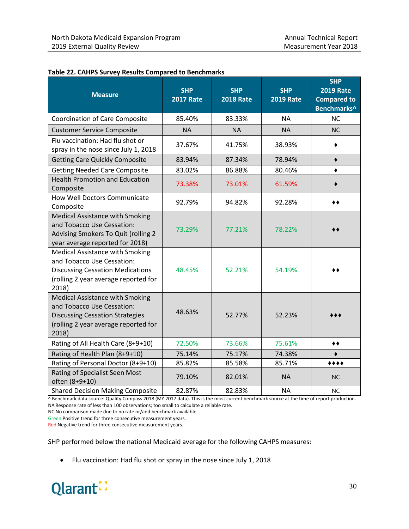| <b>Measure</b>                                                                                                                                            | <b>SHP</b><br><b>2017 Rate</b> | <b>SHP</b><br><b>2018 Rate</b> | <b>SHP</b><br><b>2019 Rate</b> | <b>SHP</b><br><b>2019 Rate</b><br><b>Compared to</b><br>Benchmarks^ |
|-----------------------------------------------------------------------------------------------------------------------------------------------------------|--------------------------------|--------------------------------|--------------------------------|---------------------------------------------------------------------|
| <b>Coordination of Care Composite</b>                                                                                                                     | 85.40%                         | 83.33%                         | <b>NA</b>                      | <b>NC</b>                                                           |
| <b>Customer Service Composite</b>                                                                                                                         | <b>NA</b>                      | <b>NA</b>                      | <b>NA</b>                      | <b>NC</b>                                                           |
| Flu vaccination: Had flu shot or<br>spray in the nose since July 1, 2018                                                                                  | 37.67%                         | 41.75%                         | 38.93%                         |                                                                     |
| <b>Getting Care Quickly Composite</b>                                                                                                                     | 83.94%                         | 87.34%                         | 78.94%                         | $\bullet$                                                           |
| <b>Getting Needed Care Composite</b>                                                                                                                      | 83.02%                         | 86.88%                         | 80.46%                         | ٠                                                                   |
| <b>Health Promotion and Education</b><br>Composite                                                                                                        | 73.38%                         | 73.01%                         | 61.59%                         |                                                                     |
| How Well Doctors Communicate<br>Composite                                                                                                                 | 92.79%                         | 94.82%                         | 92.28%                         | ◆◆                                                                  |
| <b>Medical Assistance with Smoking</b><br>and Tobacco Use Cessation:<br>Advising Smokers To Quit (rolling 2<br>year average reported for 2018)            | 73.29%                         | 77.21%                         | 78.22%                         |                                                                     |
| Medical Assistance with Smoking<br>and Tobacco Use Cessation:<br><b>Discussing Cessation Medications</b><br>(rolling 2 year average reported for<br>2018) | 48.45%                         | 52.21%                         | 54.19%                         |                                                                     |
| Medical Assistance with Smoking<br>and Tobacco Use Cessation:<br><b>Discussing Cessation Strategies</b><br>(rolling 2 year average reported for<br>2018)  | 48.63%                         | 52.77%                         | 52.23%                         |                                                                     |
| Rating of All Health Care (8+9+10)                                                                                                                        | 72.50%                         | 73.66%                         | 75.61%                         | ◆◆                                                                  |
| Rating of Health Plan (8+9+10)                                                                                                                            | 75.14%                         | 75.17%                         | 74.38%                         |                                                                     |
| Rating of Personal Doctor (8+9+10)                                                                                                                        | 85.82%                         | 85.58%                         | 85.71%                         | $***$                                                               |
| Rating of Specialist Seen Most<br>often (8+9+10)                                                                                                          | 79.10%                         | 82.01%                         | <b>NA</b>                      | <b>NC</b>                                                           |
| <b>Shared Decision Making Composite</b>                                                                                                                   | 82.87%                         | 82.83%                         | <b>NA</b>                      | <b>NC</b>                                                           |

#### **Table 22. CAHPS Survey Results Compared to Benchmarks**

^ Benchmark data source: Quality Compass 2018 (MY 2017 data). This is the most current benchmark source at the time of report production. NA Response rate of less than 100 observations; too small to calculate a reliable rate.

NC No comparison made due to no rate or/and benchmark available.

Green Positive trend for three consecutive measurement years.

Red Negative trend for three consecutive measurement years.

SHP performed below the national Medicaid average for the following CAHPS measures:

• Flu vaccination: Had flu shot or spray in the nose since July 1, 2018

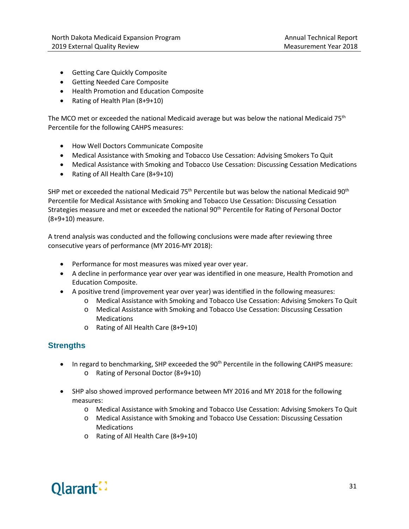- Getting Care Quickly Composite
- Getting Needed Care Composite
- Health Promotion and Education Composite
- Rating of Health Plan (8+9+10)

The MCO met or exceeded the national Medicaid average but was below the national Medicaid 75<sup>th</sup> Percentile for the following CAHPS measures:

- How Well Doctors Communicate Composite
- Medical Assistance with Smoking and Tobacco Use Cessation: Advising Smokers To Quit
- Medical Assistance with Smoking and Tobacco Use Cessation: Discussing Cessation Medications
- Rating of All Health Care (8+9+10)

SHP met or exceeded the national Medicaid 75<sup>th</sup> Percentile but was below the national Medicaid 90<sup>th</sup> Percentile for Medical Assistance with Smoking and Tobacco Use Cessation: Discussing Cessation Strategies measure and met or exceeded the national 90th Percentile for Rating of Personal Doctor (8+9+10) measure.

A trend analysis was conducted and the following conclusions were made after reviewing three consecutive years of performance (MY 2016-MY 2018):

- Performance for most measures was mixed year over year.
- A decline in performance year over year was identified in one measure, Health Promotion and Education Composite.
- A positive trend (improvement year over year) was identified in the following measures:
	- o Medical Assistance with Smoking and Tobacco Use Cessation: Advising Smokers To Quit
	- o Medical Assistance with Smoking and Tobacco Use Cessation: Discussing Cessation Medications
	- o Rating of All Health Care (8+9+10)

#### **Strengths**

- In regard to benchmarking, SHP exceeded the 90<sup>th</sup> Percentile in the following CAHPS measure: o Rating of Personal Doctor (8+9+10)
- SHP also showed improved performance between MY 2016 and MY 2018 for the following measures:
	- o Medical Assistance with Smoking and Tobacco Use Cessation: Advising Smokers To Quit
	- o Medical Assistance with Smoking and Tobacco Use Cessation: Discussing Cessation Medications
	- o Rating of All Health Care (8+9+10)

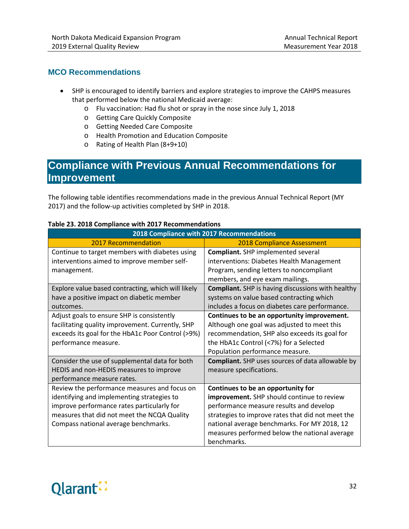#### **MCO Recommendations**

- SHP is encouraged to identify barriers and explore strategies to improve the CAHPS measures that performed below the national Medicaid average:
	- o Flu vaccination: Had flu shot or spray in the nose since July 1, 2018
	- o Getting Care Quickly Composite
	- o Getting Needed Care Composite
	- o Health Promotion and Education Composite
	- o Rating of Health Plan (8+9+10)

# <span id="page-38-0"></span>**Compliance with Previous Annual Recommendations for Improvement**

The following table identifies recommendations made in the previous Annual Technical Report (MY 2017) and the follow-up activities completed by SHP in 2018.

|                                                    | 2018 Compliance with 2017 Recommendations                |
|----------------------------------------------------|----------------------------------------------------------|
| <b>2017 Recommendation</b>                         | <b>2018 Compliance Assessment</b>                        |
| Continue to target members with diabetes using     | <b>Compliant.</b> SHP implemented several                |
| interventions aimed to improve member self-        | interventions: Diabetes Health Management                |
| management.                                        | Program, sending letters to noncompliant                 |
|                                                    | members, and eye exam mailings.                          |
| Explore value based contracting, which will likely | <b>Compliant.</b> SHP is having discussions with healthy |
| have a positive impact on diabetic member          | systems on value based contracting which                 |
| outcomes.                                          | includes a focus on diabetes care performance.           |
| Adjust goals to ensure SHP is consistently         | Continues to be an opportunity improvement.              |
| facilitating quality improvement. Currently, SHP   | Although one goal was adjusted to meet this              |
| exceeds its goal for the HbA1c Poor Control (>9%)  | recommendation, SHP also exceeds its goal for            |
| performance measure.                               | the HbA1c Control (<7%) for a Selected                   |
|                                                    | Population performance measure.                          |
| Consider the use of supplemental data for both     | <b>Compliant.</b> SHP uses sources of data allowable by  |
| HEDIS and non-HEDIS measures to improve            | measure specifications.                                  |
| performance measure rates.                         |                                                          |
| Review the performance measures and focus on       | Continues to be an opportunity for                       |
| identifying and implementing strategies to         | improvement. SHP should continue to review               |
| improve performance rates particularly for         | performance measure results and develop                  |
| measures that did not meet the NCQA Quality        | strategies to improve rates that did not meet the        |
| Compass national average benchmarks.               | national average benchmarks. For MY 2018, 12             |
|                                                    | measures performed below the national average            |
|                                                    | benchmarks.                                              |

#### **Table 23. 2018 Compliance with 2017 Recommendations**

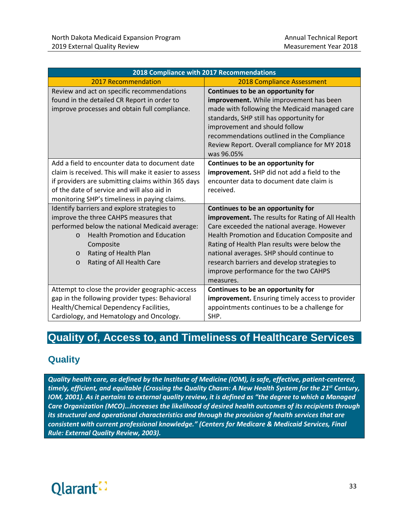|                                                                                                                                                                                                                                                                                      | 2018 Compliance with 2017 Recommendations                                                                                                                                                                                                                                                                                                                                                       |
|--------------------------------------------------------------------------------------------------------------------------------------------------------------------------------------------------------------------------------------------------------------------------------------|-------------------------------------------------------------------------------------------------------------------------------------------------------------------------------------------------------------------------------------------------------------------------------------------------------------------------------------------------------------------------------------------------|
| 2017 Recommendation                                                                                                                                                                                                                                                                  | <b>2018 Compliance Assessment</b>                                                                                                                                                                                                                                                                                                                                                               |
| Review and act on specific recommendations<br>found in the detailed CR Report in order to<br>improve processes and obtain full compliance.                                                                                                                                           | Continues to be an opportunity for<br>improvement. While improvement has been<br>made with following the Medicaid managed care<br>standards, SHP still has opportunity for<br>improvement and should follow<br>recommendations outlined in the Compliance<br>Review Report. Overall compliance for MY 2018<br>was 96.05%                                                                        |
| Add a field to encounter data to document date<br>claim is received. This will make it easier to assess<br>if providers are submitting claims within 365 days<br>of the date of service and will also aid in<br>monitoring SHP's timeliness in paying claims.                        | Continues to be an opportunity for<br>improvement. SHP did not add a field to the<br>encounter data to document date claim is<br>received.                                                                                                                                                                                                                                                      |
| Identify barriers and explore strategies to<br>improve the three CAHPS measures that<br>performed below the national Medicaid average:<br><b>Health Promotion and Education</b><br>$\Omega$<br>Composite<br>Rating of Health Plan<br>$\circ$<br>Rating of All Health Care<br>$\circ$ | Continues to be an opportunity for<br><b>improvement.</b> The results for Rating of All Health<br>Care exceeded the national average. However<br>Health Promotion and Education Composite and<br>Rating of Health Plan results were below the<br>national averages. SHP should continue to<br>research barriers and develop strategies to<br>improve performance for the two CAHPS<br>measures. |
| Attempt to close the provider geographic-access<br>gap in the following provider types: Behavioral<br>Health/Chemical Dependency Facilities,<br>Cardiology, and Hematology and Oncology.                                                                                             | Continues to be an opportunity for<br>improvement. Ensuring timely access to provider<br>appointments continues to be a challenge for<br>SHP.                                                                                                                                                                                                                                                   |

# <span id="page-39-0"></span>**Quality of, Access to, and Timeliness of Healthcare Services**

# <span id="page-39-1"></span>**Quality**

*Quality health care, as defined by the Institute of Medicine (IOM), is safe, effective, patient-centered, timely, efficient, and equitable (Crossing the Quality Chasm: A New Health System for the 21st Century, IOM, 2001). As it pertains to external quality review, it is defined as "the degree to which a Managed Care Organization (MCO)…increases the likelihood of desired health outcomes of its recipients through its structural and operational characteristics and through the provision of health services that are consistent with current professional knowledge." (Centers for Medicare & Medicaid Services, Final Rule: External Quality Review, 2003).*

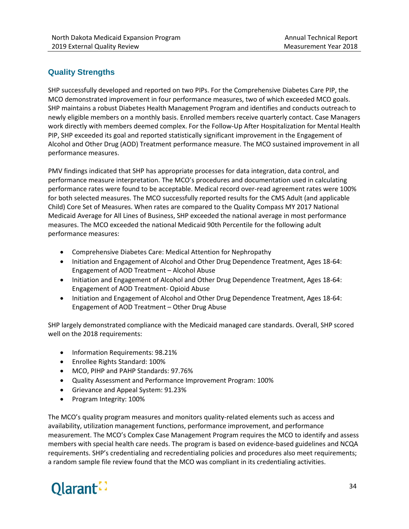#### **Quality Strengths**

SHP successfully developed and reported on two PIPs. For the Comprehensive Diabetes Care PIP, the MCO demonstrated improvement in four performance measures, two of which exceeded MCO goals. SHP maintains a robust Diabetes Health Management Program and identifies and conducts outreach to newly eligible members on a monthly basis. Enrolled members receive quarterly contact. Case Managers work directly with members deemed complex. For the Follow-Up After Hospitalization for Mental Health PIP, SHP exceeded its goal and reported statistically significant improvement in the Engagement of Alcohol and Other Drug (AOD) Treatment performance measure. The MCO sustained improvement in all performance measures.

PMV findings indicated that SHP has appropriate processes for data integration, data control, and performance measure interpretation. The MCO's procedures and documentation used in calculating performance rates were found to be acceptable. Medical record over-read agreement rates were 100% for both selected measures. The MCO successfully reported results for the CMS Adult (and applicable Child) Core Set of Measures. When rates are compared to the Quality Compass MY 2017 National Medicaid Average for All Lines of Business, SHP exceeded the national average in most performance measures. The MCO exceeded the national Medicaid 90th Percentile for the following adult performance measures:

- Comprehensive Diabetes Care: Medical Attention for Nephropathy
- Initiation and Engagement of Alcohol and Other Drug Dependence Treatment, Ages 18-64: Engagement of AOD Treatment – Alcohol Abuse
- Initiation and Engagement of Alcohol and Other Drug Dependence Treatment, Ages 18-64: Engagement of AOD Treatment- Opioid Abuse
- Initiation and Engagement of Alcohol and Other Drug Dependence Treatment, Ages 18-64: Engagement of AOD Treatment – Other Drug Abuse

SHP largely demonstrated compliance with the Medicaid managed care standards. Overall, SHP scored well on the 2018 requirements:

- Information Requirements: 98.21%
- Enrollee Rights Standard: 100%
- MCO, PIHP and PAHP Standards: 97.76%
- Quality Assessment and Performance Improvement Program: 100%
- Grievance and Appeal System: 91.23%
- Program Integrity: 100%

The MCO's quality program measures and monitors quality-related elements such as access and availability, utilization management functions, performance improvement, and performance measurement. The MCO's Complex Case Management Program requires the MCO to identify and assess members with special health care needs. The program is based on evidence-based guidelines and NCQA requirements. SHP's credentialing and recredentialing policies and procedures also meet requirements; a random sample file review found that the MCO was compliant in its credentialing activities.

# Olarant.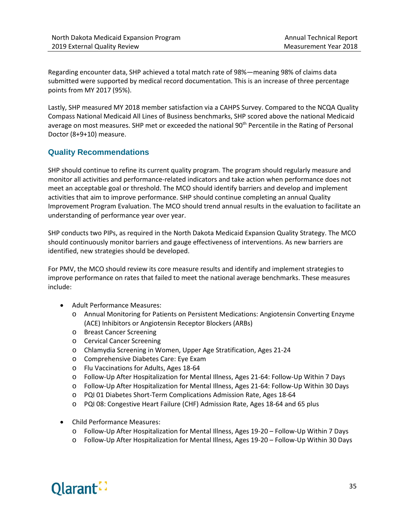Regarding encounter data, SHP achieved a total match rate of 98%—meaning 98% of claims data submitted were supported by medical record documentation. This is an increase of three percentage points from MY 2017 (95%).

Lastly, SHP measured MY 2018 member satisfaction via a CAHPS Survey. Compared to the NCQA Quality Compass National Medicaid All Lines of Business benchmarks, SHP scored above the national Medicaid average on most measures. SHP met or exceeded the national 90<sup>th</sup> Percentile in the Rating of Personal Doctor (8+9+10) measure.

#### **Quality Recommendations**

SHP should continue to refine its current quality program. The program should regularly measure and monitor all activities and performance-related indicators and take action when performance does not meet an acceptable goal or threshold. The MCO should identify barriers and develop and implement activities that aim to improve performance. SHP should continue completing an annual Quality Improvement Program Evaluation. The MCO should trend annual results in the evaluation to facilitate an understanding of performance year over year.

SHP conducts two PIPs, as required in the North Dakota Medicaid Expansion Quality Strategy. The MCO should continuously monitor barriers and gauge effectiveness of interventions. As new barriers are identified, new strategies should be developed.

For PMV, the MCO should review its core measure results and identify and implement strategies to improve performance on rates that failed to meet the national average benchmarks. These measures include:

- Adult Performance Measures:
	- o Annual Monitoring for Patients on Persistent Medications: Angiotensin Converting Enzyme (ACE) Inhibitors or Angiotensin Receptor Blockers (ARBs)
	- o Breast Cancer Screening
	- o Cervical Cancer Screening
	- o Chlamydia Screening in Women, Upper Age Stratification, Ages 21-24
	- o Comprehensive Diabetes Care: Eye Exam
	- o Flu Vaccinations for Adults, Ages 18-64
	- o Follow-Up After Hospitalization for Mental Illness, Ages 21-64: Follow-Up Within 7 Days
	- o Follow-Up After Hospitalization for Mental Illness, Ages 21-64: Follow-Up Within 30 Days
	- o PQI 01 Diabetes Short-Term Complications Admission Rate, Ages 18-64
	- o PQI 08: Congestive Heart Failure (CHF) Admission Rate, Ages 18-64 and 65 plus
- Child Performance Measures:
	- o Follow-Up After Hospitalization for Mental Illness, Ages 19-20 Follow-Up Within 7 Days
	- o Follow-Up After Hospitalization for Mental Illness, Ages 19-20 Follow-Up Within 30 Days

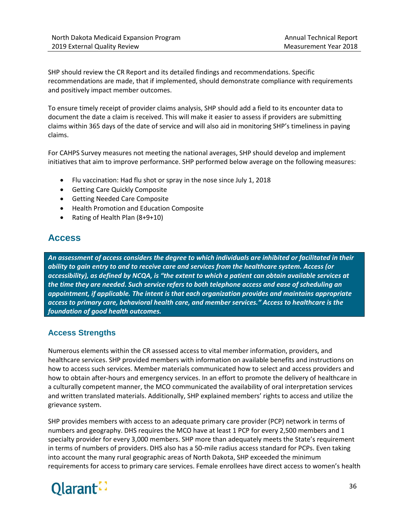SHP should review the CR Report and its detailed findings and recommendations. Specific recommendations are made, that if implemented, should demonstrate compliance with requirements and positively impact member outcomes.

To ensure timely receipt of provider claims analysis, SHP should add a field to its encounter data to document the date a claim is received. This will make it easier to assess if providers are submitting claims within 365 days of the date of service and will also aid in monitoring SHP's timeliness in paying claims.

For CAHPS Survey measures not meeting the national averages, SHP should develop and implement initiatives that aim to improve performance. SHP performed below average on the following measures:

- Flu vaccination: Had flu shot or spray in the nose since July 1, 2018
- Getting Care Quickly Composite
- Getting Needed Care Composite
- Health Promotion and Education Composite
- Rating of Health Plan (8+9+10)

# <span id="page-42-0"></span>**Access**

*An assessment of access considers the degree to which individuals are inhibited or facilitated in their ability to gain entry to and to receive care and services from the healthcare system. Access (or accessibility), as defined by NCQA, is "the extent to which a patient can obtain available services at the time they are needed. Such service refers to both telephone access and ease of scheduling an appointment, if applicable. The intent is that each organization provides and maintains appropriate access to primary care, behavioral health care, and member services." Access to healthcare is the foundation of good health outcomes.*

#### **Access Strengths**

Numerous elements within the CR assessed access to vital member information, providers, and healthcare services. SHP provided members with information on available benefits and instructions on how to access such services. Member materials communicated how to select and access providers and how to obtain after-hours and emergency services. In an effort to promote the delivery of healthcare in a culturally competent manner, the MCO communicated the availability of oral interpretation services and written translated materials. Additionally, SHP explained members' rights to access and utilize the grievance system.

SHP provides members with access to an adequate primary care provider (PCP) network in terms of numbers and geography. DHS requires the MCO have at least 1 PCP for every 2,500 members and 1 specialty provider for every 3,000 members. SHP more than adequately meets the State's requirement in terms of numbers of providers. DHS also has a 50-mile radius access standard for PCPs. Even taking into account the many rural geographic areas of North Dakota, SHP exceeded the minimum requirements for access to primary care services. Female enrollees have direct access to women's health

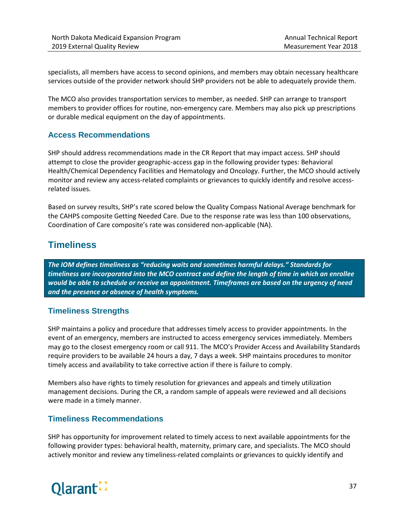specialists, all members have access to second opinions, and members may obtain necessary healthcare services outside of the provider network should SHP providers not be able to adequately provide them.

The MCO also provides transportation services to member, as needed. SHP can arrange to transport members to provider offices for routine, non-emergency care. Members may also pick up prescriptions or durable medical equipment on the day of appointments.

#### **Access Recommendations**

SHP should address recommendations made in the CR Report that may impact access. SHP should attempt to close the provider geographic-access gap in the following provider types: Behavioral Health/Chemical Dependency Facilities and Hematology and Oncology. Further, the MCO should actively monitor and review any access-related complaints or grievances to quickly identify and resolve accessrelated issues.

Based on survey results, SHP's rate scored below the Quality Compass National Average benchmark for the CAHPS composite Getting Needed Care. Due to the response rate was less than 100 observations, Coordination of Care composite's rate was considered non-applicable (NA).

## <span id="page-43-0"></span>**Timeliness**

*The IOM defines timeliness as "reducing waits and sometimes harmful delays." Standards for timeliness are incorporated into the MCO contract and define the length of time in which an enrollee would be able to schedule or receive an appointment. Timeframes are based on the urgency of need and the presence or absence of health symptoms.*

#### **Timeliness Strengths**

SHP maintains a policy and procedure that addresses timely access to provider appointments. In the event of an emergency, members are instructed to access emergency services immediately. Members may go to the closest emergency room or call 911. The MCO's Provider Access and Availability Standards require providers to be available 24 hours a day, 7 days a week. SHP maintains procedures to monitor timely access and availability to take corrective action if there is failure to comply.

Members also have rights to timely resolution for grievances and appeals and timely utilization management decisions. During the CR, a random sample of appeals were reviewed and all decisions were made in a timely manner.

#### **Timeliness Recommendations**

SHP has opportunity for improvement related to timely access to next available appointments for the following provider types: behavioral health, maternity, primary care, and specialists. The MCO should actively monitor and review any timeliness-related complaints or grievances to quickly identify and

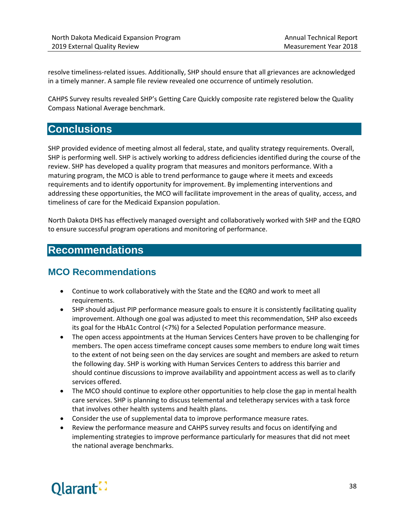resolve timeliness-related issues. Additionally, SHP should ensure that all grievances are acknowledged in a timely manner. A sample file review revealed one occurrence of untimely resolution.

CAHPS Survey results revealed SHP's Getting Care Quickly composite rate registered below the Quality Compass National Average benchmark.

# <span id="page-44-0"></span>**Conclusions**

SHP provided evidence of meeting almost all federal, state, and quality strategy requirements. Overall, SHP is performing well. SHP is actively working to address deficiencies identified during the course of the review. SHP has developed a quality program that measures and monitors performance. With a maturing program, the MCO is able to trend performance to gauge where it meets and exceeds requirements and to identify opportunity for improvement. By implementing interventions and addressing these opportunities, the MCO will facilitate improvement in the areas of quality, access, and timeliness of care for the Medicaid Expansion population.

North Dakota DHS has effectively managed oversight and collaboratively worked with SHP and the EQRO to ensure successful program operations and monitoring of performance.

# <span id="page-44-1"></span>**Recommendations**

## <span id="page-44-2"></span>**MCO Recommendations**

- Continue to work collaboratively with the State and the EQRO and work to meet all requirements.
- SHP should adjust PIP performance measure goals to ensure it is consistently facilitating quality improvement. Although one goal was adjusted to meet this recommendation, SHP also exceeds its goal for the HbA1c Control (<7%) for a Selected Population performance measure.
- The open access appointments at the Human Services Centers have proven to be challenging for members. The open access timeframe concept causes some members to endure long wait times to the extent of not being seen on the day services are sought and members are asked to return the following day. SHP is working with Human Services Centers to address this barrier and should continue discussions to improve availability and appointment access as well as to clarify services offered.
- The MCO should continue to explore other opportunities to help close the gap in mental health care services. SHP is planning to discuss telemental and teletherapy services with a task force that involves other health systems and health plans.
- Consider the use of supplemental data to improve performance measure rates.
- Review the performance measure and CAHPS survey results and focus on identifying and implementing strategies to improve performance particularly for measures that did not meet the national average benchmarks.